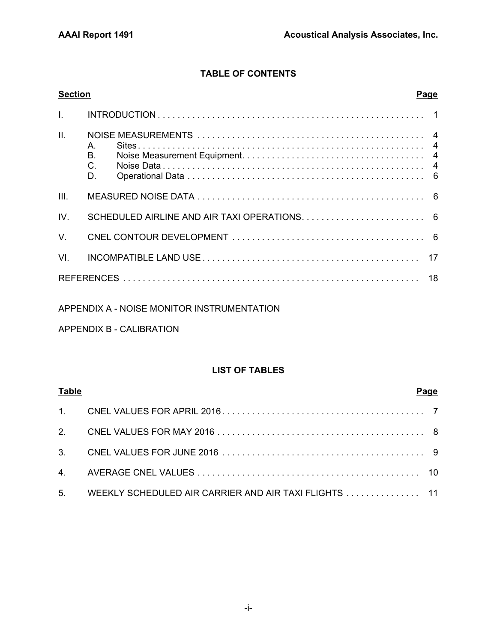# **TABLE OF CONTENTS**

| <b>Section</b> | <b>Page</b>                               |  |
|----------------|-------------------------------------------|--|
| $\mathbf{L}$   |                                           |  |
| II.            | $A_{1}$<br><b>B.</b><br>$C_{\cdot}$<br>D. |  |
| III.           |                                           |  |
| IV.            |                                           |  |
| $V_{\cdot}$    |                                           |  |
| VI.            |                                           |  |
|                |                                           |  |

## APPENDIX A - NOISE MONITOR INSTRUMENTATION

## APPENDIX B - CALIBRATION

## **LIST OF TABLES**

| <b>Table</b> |                                                          | Page |
|--------------|----------------------------------------------------------|------|
|              |                                                          |      |
|              |                                                          |      |
|              |                                                          |      |
|              |                                                          |      |
|              | 5. WEEKLY SCHEDULED AIR CARRIER AND AIR TAXI FLIGHTS  11 |      |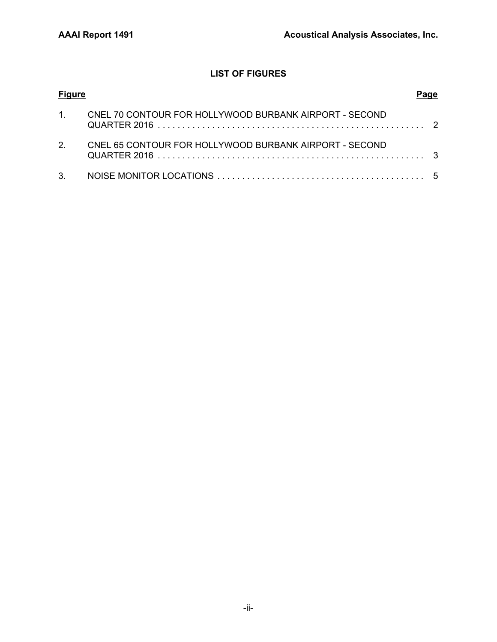# **LIST OF FIGURES**

| <b>Figure</b>  |                                                        |  |
|----------------|--------------------------------------------------------|--|
| $1 \quad$      | CNEL 70 CONTOUR FOR HOLLYWOOD BURBANK AIRPORT - SECOND |  |
| 2 <sup>1</sup> | CNEL 65 CONTOUR FOR HOLLYWOOD BURBANK AIRPORT - SECOND |  |
|                |                                                        |  |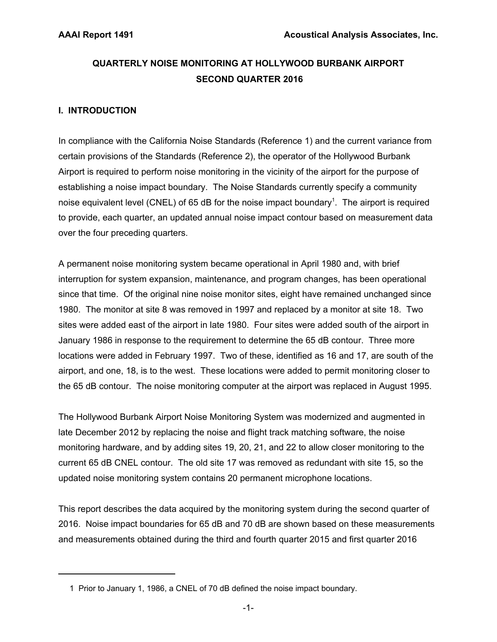# **QUARTERLY NOISE MONITORING AT HOLLYWOOD BURBANK AIRPORT SECOND QUARTER 2016**

## **I. INTRODUCTION**

In compliance with the California Noise Standards (Reference 1) and the current variance from certain provisions of the Standards (Reference 2), the operator of the Hollywood Burbank Airport is required to perform noise monitoring in the vicinity of the airport for the purpose of establishing a noise impact boundary. The Noise Standards currently specify a community noise equivalent level (CNEL) of 65 dB for the noise impact boundary<sup>1</sup>. The airport is required to provide, each quarter, an updated annual noise impact contour based on measurement data over the four preceding quarters.

A permanent noise monitoring system became operational in April 1980 and, with brief interruption for system expansion, maintenance, and program changes, has been operational since that time. Of the original nine noise monitor sites, eight have remained unchanged since 1980. The monitor at site 8 was removed in 1997 and replaced by a monitor at site 18. Two sites were added east of the airport in late 1980. Four sites were added south of the airport in January 1986 in response to the requirement to determine the 65 dB contour. Three more locations were added in February 1997. Two of these, identified as 16 and 17, are south of the airport, and one, 18, is to the west. These locations were added to permit monitoring closer to the 65 dB contour. The noise monitoring computer at the airport was replaced in August 1995.

The Hollywood Burbank Airport Noise Monitoring System was modernized and augmented in late December 2012 by replacing the noise and flight track matching software, the noise monitoring hardware, and by adding sites 19, 20, 21, and 22 to allow closer monitoring to the current 65 dB CNEL contour. The old site 17 was removed as redundant with site 15, so the updated noise monitoring system contains 20 permanent microphone locations.

This report describes the data acquired by the monitoring system during the second quarter of 2016. Noise impact boundaries for 65 dB and 70 dB are shown based on these measurements and measurements obtained during the third and fourth quarter 2015 and first quarter 2016

 <sup>1</sup> Prior to January 1, 1986, a CNEL of 70 dB defined the noise impact boundary.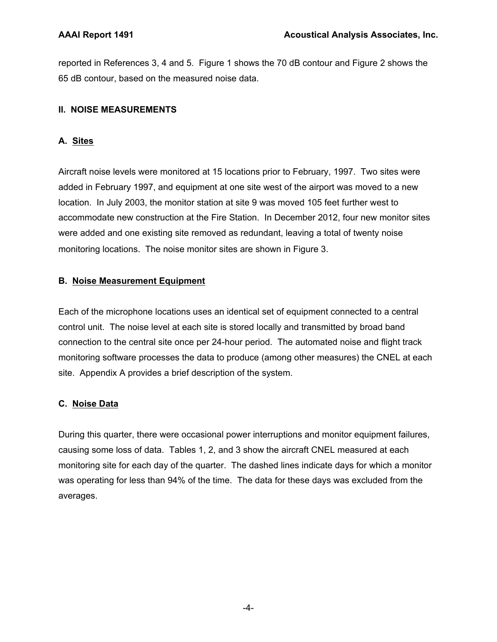reported in References 3, 4 and 5. Figure 1 shows the 70 dB contour and Figure 2 shows the 65 dB contour, based on the measured noise data.

## **II. NOISE MEASUREMENTS**

# **A. Sites**

Aircraft noise levels were monitored at 15 locations prior to February, 1997. Two sites were added in February 1997, and equipment at one site west of the airport was moved to a new location. In July 2003, the monitor station at site 9 was moved 105 feet further west to accommodate new construction at the Fire Station. In December 2012, four new monitor sites were added and one existing site removed as redundant, leaving a total of twenty noise monitoring locations. The noise monitor sites are shown in Figure 3.

## **B. Noise Measurement Equipment**

Each of the microphone locations uses an identical set of equipment connected to a central control unit. The noise level at each site is stored locally and transmitted by broad band connection to the central site once per 24-hour period. The automated noise and flight track monitoring software processes the data to produce (among other measures) the CNEL at each site. Appendix A provides a brief description of the system.

# **C. Noise Data**

During this quarter, there were occasional power interruptions and monitor equipment failures, causing some loss of data. Tables 1, 2, and 3 show the aircraft CNEL measured at each monitoring site for each day of the quarter. The dashed lines indicate days for which a monitor was operating for less than 94% of the time. The data for these days was excluded from the averages.

-4-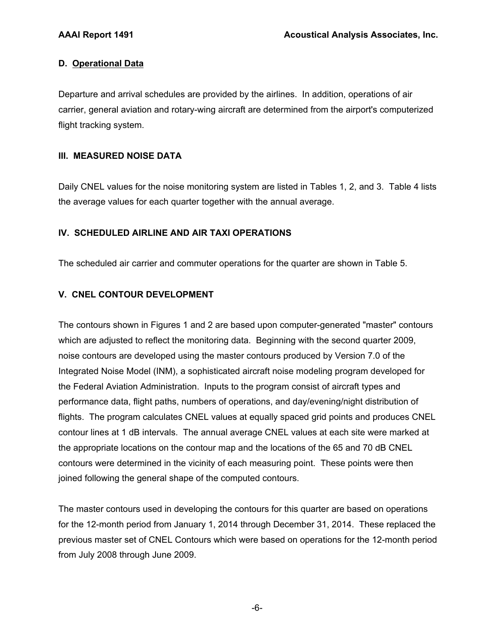## **D. Operational Data**

Departure and arrival schedules are provided by the airlines. In addition, operations of air carrier, general aviation and rotary-wing aircraft are determined from the airport's computerized flight tracking system.

## **III. MEASURED NOISE DATA**

Daily CNEL values for the noise monitoring system are listed in Tables 1, 2, and 3. Table 4 lists the average values for each quarter together with the annual average.

## **IV. SCHEDULED AIRLINE AND AIR TAXI OPERATIONS**

The scheduled air carrier and commuter operations for the quarter are shown in Table 5.

## **V. CNEL CONTOUR DEVELOPMENT**

The contours shown in Figures 1 and 2 are based upon computer-generated "master" contours which are adjusted to reflect the monitoring data. Beginning with the second quarter 2009, noise contours are developed using the master contours produced by Version 7.0 of the Integrated Noise Model (INM), a sophisticated aircraft noise modeling program developed for the Federal Aviation Administration. Inputs to the program consist of aircraft types and performance data, flight paths, numbers of operations, and day/evening/night distribution of flights. The program calculates CNEL values at equally spaced grid points and produces CNEL contour lines at 1 dB intervals. The annual average CNEL values at each site were marked at the appropriate locations on the contour map and the locations of the 65 and 70 dB CNEL contours were determined in the vicinity of each measuring point. These points were then joined following the general shape of the computed contours.

The master contours used in developing the contours for this quarter are based on operations for the 12-month period from January 1, 2014 through December 31, 2014. These replaced the previous master set of CNEL Contours which were based on operations for the 12-month period from July 2008 through June 2009.

-6-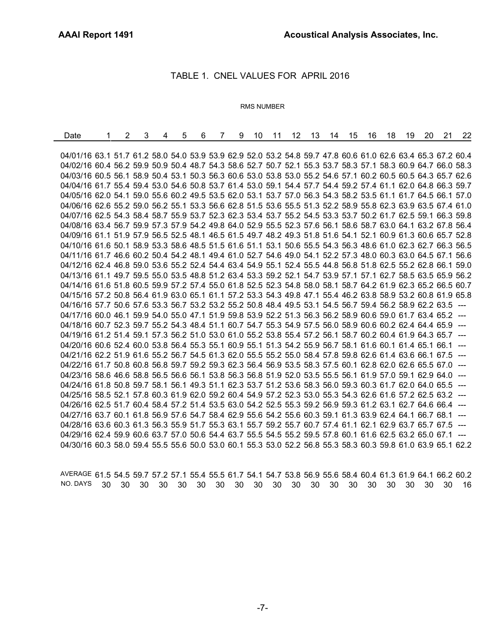÷,

#### TABLE 1. CNEL VALUES FOR APRIL 2016

#### RMS NUMBER

| Date                                                                                                         | $\overline{2}$ | 3 | 4 | 5 | 6 | $\overline{7}$ | 9 | 10 |  | 11 12 13 14 15 |  | 16 | 18 | 19 | -20 | 21 | 22 |
|--------------------------------------------------------------------------------------------------------------|----------------|---|---|---|---|----------------|---|----|--|----------------|--|----|----|----|-----|----|----|
|                                                                                                              |                |   |   |   |   |                |   |    |  |                |  |    |    |    |     |    |    |
| 04/01/16 63.1 51.7 61.2 58.0 54.0 53.9 53.9 62.9 52.0 53.2 54.8 59.7 47.8 60.6 61.0 62.6 63.4 65.3 67.2 60.4 |                |   |   |   |   |                |   |    |  |                |  |    |    |    |     |    |    |
| 04/02/16 60.4 56.2 59.9 50.9 50.4 48.7 54.3 58.6 52.7 50.7 52.1 55.3 53.7 58.3 57.1 58.3 60.9 64.7 66.0 58.3 |                |   |   |   |   |                |   |    |  |                |  |    |    |    |     |    |    |
| 04/03/16 60.5 56.1 58.9 50.4 53.1 50.3 56.3 60.6 53.0 53.8 53.0 55.2 54.6 57.1 60.2 60.5 60.5 64.3 65.7 62.6 |                |   |   |   |   |                |   |    |  |                |  |    |    |    |     |    |    |
| 04/04/16 61.7 55.4 59.4 53.0 54.6 50.8 53.7 61.4 53.0 59.1 54.4 57.7 54.4 59.2 57.4 61.1 62.0 64.8 66.3 59.7 |                |   |   |   |   |                |   |    |  |                |  |    |    |    |     |    |    |
| 04/05/16 62.0 54.1 59.0 55.6 60.2 49.5 53.5 62.0 53.1 53.7 57.0 56.3 54.3 58.2 53.5 61.1 61.7 64.5 66.1 57.0 |                |   |   |   |   |                |   |    |  |                |  |    |    |    |     |    |    |
| 04/06/16 62.6 55.2 59.0 56.2 55.1 53.3 56.6 62.8 51.5 53.6 55.5 51.3 52.2 58.9 55.8 62.3 63.9 63.5 67.4 61.0 |                |   |   |   |   |                |   |    |  |                |  |    |    |    |     |    |    |
| 04/07/16 62.5 54.3 58.4 58.7 55.9 53.7 52.3 62.3 53.4 53.7 55.2 54.5 53.3 53.7 50.2 61.7 62.5 59.1 66.3 59.8 |                |   |   |   |   |                |   |    |  |                |  |    |    |    |     |    |    |
| 04/08/16 63.4 56.7 59.9 57.3 57.9 54.2 49.8 64.0 52.9 55.5 52.3 57.6 56.1 58.6 58.7 63.0 64.1 63.2 67.8 56.4 |                |   |   |   |   |                |   |    |  |                |  |    |    |    |     |    |    |
| 04/09/16 61.1 51.9 57.9 56.5 52.5 48.1 46.5 61.5 49.7 48.2 49.3 51.8 51.6 54.1 52.1 60.9 61.3 60.6 65.7 52.8 |                |   |   |   |   |                |   |    |  |                |  |    |    |    |     |    |    |
| 04/10/16 61.6 50.1 58.9 53.3 58.6 48.5 51.5 61.6 51.1 53.1 50.6 55.5 54.3 56.3 48.6 61.0 62.3 62.7 66.3 56.5 |                |   |   |   |   |                |   |    |  |                |  |    |    |    |     |    |    |
| 04/11/16 61.7 46.6 60.2 50.4 54.2 48.1 49.4 61.0 52.7 54.6 49.0 54.1 52.2 57.3 48.0 60.3 63.0 64.5 67.1 56.6 |                |   |   |   |   |                |   |    |  |                |  |    |    |    |     |    |    |
| 04/12/16 62.4 46.8 59.0 53.6 55.2 52.4 54.4 63.4 54.9 55.1 52.4 55.5 44.8 56.8 51.8 62.5 55.2 62.8 66.1 59.0 |                |   |   |   |   |                |   |    |  |                |  |    |    |    |     |    |    |
| 04/13/16 61.1 49.7 59.5 55.0 53.5 48.8 51.2 63.4 53.3 59.2 52.1 54.7 53.9 57.1 57.1 62.7 58.5 63.5 65.9 56.2 |                |   |   |   |   |                |   |    |  |                |  |    |    |    |     |    |    |
| 04/14/16 61.6 51.8 60.5 59.9 57.2 57.4 55.0 61.8 52.5 52.3 54.8 58.0 58.1 58.7 64.2 61.9 62.3 65.2 66.5 60.7 |                |   |   |   |   |                |   |    |  |                |  |    |    |    |     |    |    |
| 04/15/16 57.2 50.8 56.4 61.9 63.0 65.1 61.1 57.2 53.3 54.3 49.8 47.1 55.4 46.2 63.8 58.9 53.2 60.8 61.9 65.8 |                |   |   |   |   |                |   |    |  |                |  |    |    |    |     |    |    |
| 04/16/16 57.7 50.6 57.6 53.3 56.7 53.2 53.2 55.2 50.8 48.4 49.5 53.1 54.5 56.7 59.4 56.2 58.9 62.2 63.5 ---  |                |   |   |   |   |                |   |    |  |                |  |    |    |    |     |    |    |
| 04/17/16 60.0 46.1 59.9 54.0 55.0 47.1 51.9 59.8 53.9 52.2 51.3 56.3 56.2 58.9 60.6 59.0 61.7 63.4 65.2 ---  |                |   |   |   |   |                |   |    |  |                |  |    |    |    |     |    |    |
| 04/18/16 60.7 52.3 59.7 55.2 54.3 48.4 51.1 60.7 54.7 55.3 54.9 57.5 56.0 58.9 60.6 60.2 62.4 64.4 65.9 ---  |                |   |   |   |   |                |   |    |  |                |  |    |    |    |     |    |    |
| 04/19/16 61.2 51.4 59.1 57.3 56.2 51.0 53.0 61.0 55.2 53.8 55.4 57.2 56.1 58.7 60.2 60.4 61.9 64.3 65.7 ---  |                |   |   |   |   |                |   |    |  |                |  |    |    |    |     |    |    |
| 04/20/16 60.6 52.4 60.0 53.8 56.4 55.3 55.1 60.9 55.1 51.3 54.2 55.9 56.7 58.1 61.6 60.1 61.4 65.1 66.1 ---  |                |   |   |   |   |                |   |    |  |                |  |    |    |    |     |    |    |
| 04/21/16 62.2 51.9 61.6 55.2 56.7 54.5 61.3 62.0 55.5 55.2 55.0 58.4 57.8 59.8 62.6 61.4 63.6 66.1 67.5 ---  |                |   |   |   |   |                |   |    |  |                |  |    |    |    |     |    |    |
| 04/22/16 61.7 50.8 60.8 56.8 59.7 59.2 59.3 62.3 56.4 56.9 53.5 58.3 57.5 60.1 62.8 62.0 62.6 65.5 67.0 ---  |                |   |   |   |   |                |   |    |  |                |  |    |    |    |     |    |    |
| 04/23/16 58.6 46.6 58.8 56.5 56.6 56.1 53.8 56.3 56.8 51.9 52.0 53.5 55.5 56.1 61.9 57.0 59.1 62.9 64.0 ---  |                |   |   |   |   |                |   |    |  |                |  |    |    |    |     |    |    |
| 04/24/16 61.8 50.8 59.7 58.1 56.1 49.3 51.1 62.3 53.7 51.2 53.6 58.3 56.0 59.3 60.3 61.7 62.0 64.0 65.5 ---  |                |   |   |   |   |                |   |    |  |                |  |    |    |    |     |    |    |
| 04/25/16 58.5 52.1 57.8 60.3 61.9 62.0 59.2 60.4 54.9 57.2 52.3 53.0 55.3 54.3 62.6 61.6 57.2 62.5 63.2 ---  |                |   |   |   |   |                |   |    |  |                |  |    |    |    |     |    |    |
| 04/26/16 62.5 51.7 60.4 58.4 57.2 51.4 53.5 63.0 54.2 52.5 55.3 59.2 56.9 59.3 61.2 63.1 62.7 64.6 66.4 ---  |                |   |   |   |   |                |   |    |  |                |  |    |    |    |     |    |    |
| 04/27/16 63.7 60.1 61.8 56.9 57.6 54.7 58.4 62.9 55.6 54.2 55.6 60.3 59.1 61.3 63.9 62.4 64.1 66.7 68.1 ---  |                |   |   |   |   |                |   |    |  |                |  |    |    |    |     |    |    |
| 04/28/16 63.6 60.3 61.3 56.3 55.9 51.7 55.3 63.1 55.7 59.2 55.7 60.7 57.4 61.1 62.1 62.9 63.7 65.7 67.5 ---  |                |   |   |   |   |                |   |    |  |                |  |    |    |    |     |    |    |
| 04/29/16 62.4 59.9 60.6 63.7 57.0 50.6 54.4 63.7 55.5 54.5 55.2 59.5 57.8 60.1 61.6 62.5 63.2 65.0 67.1 ---  |                |   |   |   |   |                |   |    |  |                |  |    |    |    |     |    |    |
| 04/30/16 60.3 58.0 59.4 55.5 55.6 50.0 53.0 60.1 55.3 53.0 52.2 56.8 55.3 58.3 60.3 59.8 61.0 63.9 65.1 62.2 |                |   |   |   |   |                |   |    |  |                |  |    |    |    |     |    |    |

AVERAGE 61.5 54.5 59.7 57.2 57.1 55.4 55.5 61.7 54.1 54.7 53.8 56.9 55.6 58.4 60.4 61.3 61.9 64.1 66.2 60.2 NO. DAYS 30 30 30 30 30 30 30 30 30 30 30 30 30 30 30 30 30 30 30 16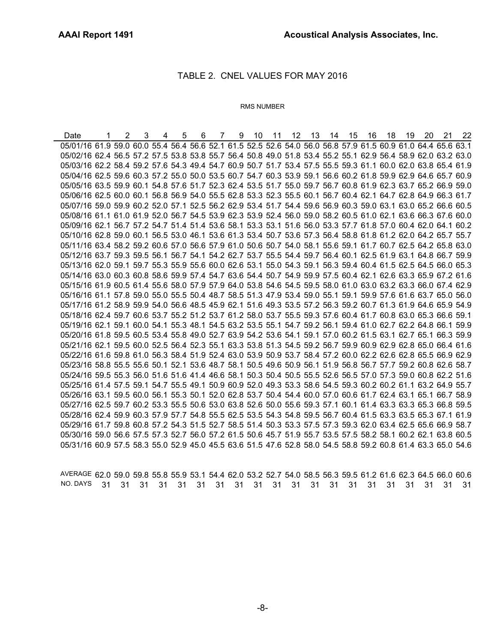#### TABLE 2. CNEL VALUES FOR MAY 2016

#### RMS NUMBER

Date 1 2 3 4 5 6 7 9 10 11 12 13 14 15 16 18 19 20 21 22 05/01/16 61.9 59.0 60.0 55.4 56.4 56.6 52.1 61.5 52.5 52.6 54.0 56.0 56.8 57.9 61.5 60.9 61.0 64.4 65.6 63.1 05/02/16 62.4 56.5 57.2 57.5 53.8 53.8 55.7 56.4 50.8 49.0 51.8 53.4 55.2 55.1 62.9 56.4 58.9 62.0 63.2 63.0 05/03/16 62.2 58.4 59.2 57.6 54.3 49.4 54.7 60.9 50.7 51.7 53.4 57.5 55.5 59.3 61.1 60.0 62.0 63.8 65.4 61.9 05/04/16 62.5 59.6 60.3 57.2 55.0 50.0 53.5 60.7 54.7 60.3 53.9 59.1 56.6 60.2 61.8 59.9 62.9 64.6 65.7 60.9 05/05/16 63.5 59.9 60.1 54.8 57.6 51.7 52.3 62.4 53.5 51.7 55.0 59.7 56.7 60.8 61.9 62.3 63.7 65.2 66.9 59.0 05/06/16 62.5 60.0 60.1 56.8 56.9 54.0 55.5 62.8 53.3 52.3 55.5 60.1 56.7 60.4 62.1 64.7 62.8 64.9 66.3 61.7 05/07/16 59.0 59.9 60.2 52.0 57.1 52.5 56.2 62.9 53.4 51.7 54.4 59.6 56.9 60.3 59.0 63.1 63.0 65.2 66.6 60.5 05/08/16 61.1 61.0 61.9 52.0 56.7 54.5 53.9 62.3 53.9 52.4 56.0 59.0 58.2 60.5 61.0 62.1 63.6 66.3 67.6 60.0 05/09/16 62.1 56.7 57.2 54.7 51.4 51.4 53.6 58.1 53.3 53.1 51.6 56.0 53.3 57.7 61.8 57.0 60.4 62.0 64.1 60.2 05/10/16 62.8 59.0 60.1 56.5 53.0 46.1 53.6 61.3 53.4 50.7 53.6 57.3 56.4 58.8 61.8 61.2 62.0 64.2 65.7 55.7 05/11/16 63.4 58.2 59.2 60.6 57.0 56.6 57.9 61.0 50.6 50.7 54.0 58.1 55.6 59.1 61.7 60.7 62.5 64.2 65.8 63.0 05/12/16 63.7 59.3 59.5 56.1 56.7 54.1 54.2 62.7 53.7 55.5 54.4 59.7 56.4 60.1 62.5 61.9 63.1 64.8 66.7 59.9 05/13/16 62.0 59.1 59.7 55.3 55.9 55.6 60.0 62.6 53.1 55.0 54.3 59.1 56.3 59.4 60.4 61.5 62.5 64.5 66.0 65.3 05/14/16 63.0 60.3 60.8 58.6 59.9 57.4 54.7 63.6 54.4 50.7 54.9 59.9 57.5 60.4 62.1 62.6 63.3 65.9 67.2 61.6 05/15/16 61.9 60.5 61.4 55.6 58.0 57.9 57.9 64.0 53.8 54.6 54.5 59.5 58.0 61.0 63.0 63.2 63.3 66.0 67.4 62.9 05/16/16 61.1 57.8 59.0 55.0 55.5 50.4 48.7 58.5 51.3 47.9 53.4 59.0 55.1 59.1 59.9 57.6 61.6 63.7 65.0 56.0 05/17/16 61.2 58.9 59.9 54.0 56.6 48.5 45.9 62.1 51.6 49.3 53.5 57.2 56.3 59.2 60.7 61.3 61.9 64.6 65.9 54.9 05/18/16 62.4 59.7 60.6 53.7 55.2 51.2 53.7 61.2 58.0 53.7 55.5 59.3 57.6 60.4 61.7 60.8 63.0 65.3 66.6 59.1 05/19/16 62.1 59.1 60.0 54.1 55.3 48.1 54.5 63.2 53.5 55.1 54.7 59.2 56.1 59.4 61.0 62.7 62.2 64.8 66.1 59.9 05/20/16 61.8 59.5 60.5 53.4 55.8 49.0 52.7 63.9 54.2 53.6 54.1 59.1 57.0 60.2 61.5 63.1 62.7 65.1 66.3 59.9 05/21/16 62.1 59.5 60.0 52.5 56.4 52.3 55.1 63.3 53.8 51.3 54.5 59.2 56.7 59.9 60.9 62.9 62.8 65.0 66.4 61.6 05/22/16 61.6 59.8 61.0 56.3 58.4 51.9 52.4 63.0 53.9 50.9 53.7 58.4 57.2 60.0 62.2 62.6 62.8 65.5 66.9 62.9 05/23/16 58.8 55.5 55.6 50.1 52.1 53.6 48.7 58.1 50.5 49.6 50.9 56.1 51.9 56.8 56.7 57.7 59.2 60.8 62.6 58.7 05/24/16 59.5 55.3 56.0 51.6 51.6 41.4 46.6 58.1 50.3 50.4 50.5 55.5 52.6 56.5 57.0 57.3 59.0 60.8 62.2 51.6 05/25/16 61.4 57.5 59.1 54.7 55.5 49.1 50.9 60.9 52.0 49.3 53.3 58.6 54.5 59.3 60.2 60.2 61.1 63.2 64.9 55.7 05/26/16 63.1 59.5 60.0 56.1 55.3 50.1 52.0 62.8 53.7 50.4 54.4 60.0 57.0 60.6 61.7 62.4 63.1 65.1 66.7 58.9 05/27/16 62.5 59.7 60.2 53.3 55.5 50.6 53.0 63.8 52.6 50.0 55.6 59.3 57.1 60.1 61.4 63.3 63.3 65.3 66.8 59.5 05/28/16 62.4 59.9 60.3 57.9 57.7 54.8 55.5 62.5 53.5 54.3 54.8 59.5 56.7 60.4 61.5 63.3 63.5 65.3 67.1 61.9 05/29/16 61.7 59.8 60.8 57.2 54.3 51.5 52.7 58.5 51.4 50.3 53.3 57.5 57.3 59.3 62.0 63.4 62.5 65.6 66.9 58.7 05/30/16 59.0 56.6 57.5 57.3 52.7 56.0 57.2 61.5 50.6 45.7 51.9 55.7 53.5 57.5 58.2 58.1 60.2 62.1 63.8 60.5 05/31/16 60.9 57.5 58.3 55.0 52.9 45.0 45.5 63.6 51.5 47.6 52.8 58.0 54.5 58.8 59.2 60.8 61.4 63.3 65.0 54.6

AVERAGE 62.0 59.0 59.8 55.8 55.9 53.1 54.4 62.0 53.2 52.7 54.0 58.5 56.3 59.5 61.2 61.6 62.3 64.5 66.0 60.6 NO. DAYS 31 31 31 31 31 31 31 31 31 31 31 31 31 31 31 31 31 31 31 31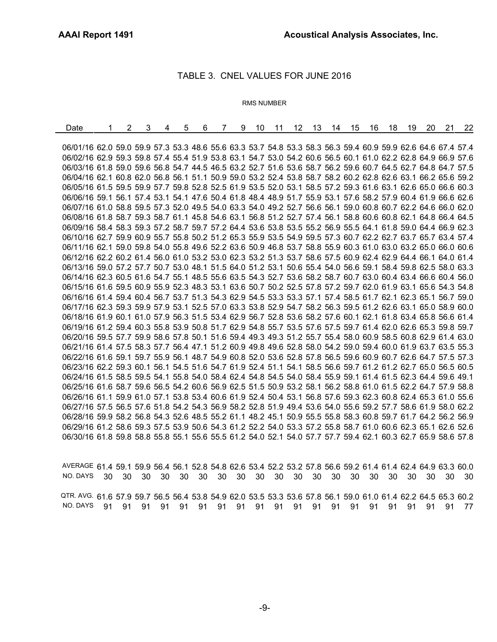#### TABLE 3. CNEL VALUES FOR JUNE 2016

#### RMS NUMBER

| Date                                                                                                         | 2 | 3 | 4 | 5 | 6 | 7 | 9 | 10 | 11 | 12 | 13 | 14 | 15 | 16 | 18 | 19 | 20 | 21 | 22 |
|--------------------------------------------------------------------------------------------------------------|---|---|---|---|---|---|---|----|----|----|----|----|----|----|----|----|----|----|----|
|                                                                                                              |   |   |   |   |   |   |   |    |    |    |    |    |    |    |    |    |    |    |    |
| 06/01/16 62.0 59.0 59.9 57.3 53.3 48.6 55.6 63.3 53.7 54.8 53.3 58.3 56.3 59.4 60.9 59.9 62.6 64.6 67.4 57.4 |   |   |   |   |   |   |   |    |    |    |    |    |    |    |    |    |    |    |    |
| 06/02/16 62.9 59.3 59.8 57.4 55.4 51.9 53.8 63.1 54.7 53.0 54.2 60.6 56.5 60.1 61.0 62.2 62.8 64.9 66.9 57.6 |   |   |   |   |   |   |   |    |    |    |    |    |    |    |    |    |    |    |    |
| 06/03/16 61.8 59.0 59.6 56.8 54.7 44.5 46.5 63.2 52.7 51.6 53.6 58.7 56.2 59.6 60.7 64.5 62.7 64.8 64.7 57.5 |   |   |   |   |   |   |   |    |    |    |    |    |    |    |    |    |    |    |    |
| 06/04/16 62.1 60.8 62.0 56.8 56.1 51.1 50.9 59.0 53.2 52.4 53.8 58.7 58.2 60.2 62.8 62.6 63.1 66.2 65.6 59.2 |   |   |   |   |   |   |   |    |    |    |    |    |    |    |    |    |    |    |    |
| 06/05/16 61.5 59.5 59.9 57.7 59.8 52.8 52.5 61.9 53.5 52.0 53.1 58.5 57.2 59.3 61.6 63.1 62.6 65.0 66.6 60.3 |   |   |   |   |   |   |   |    |    |    |    |    |    |    |    |    |    |    |    |
| 06/06/16 59.1 56.1 57.4 53.1 54.1 47.6 50.4 61.8 48.4 48.9 51.7 55.9 53.1 57.6 58.2 57.9 60.4 61.9 66.6 62.6 |   |   |   |   |   |   |   |    |    |    |    |    |    |    |    |    |    |    |    |
| 06/07/16 61.0 58.8 59.5 57.3 52.0 49.5 54.0 63.3 54.0 49.2 52.7 56.6 56.1 59.0 60.8 60.7 62.2 64.6 66.0 62.0 |   |   |   |   |   |   |   |    |    |    |    |    |    |    |    |    |    |    |    |
| 06/08/16 61.8 58.7 59.3 58.7 61.1 45.8 54.6 63.1 56.8 51.2 52.7 57.4 56.1 58.8 60.6 60.8 62.1 64.8 66.4 64.5 |   |   |   |   |   |   |   |    |    |    |    |    |    |    |    |    |    |    |    |
| 06/09/16 58.4 58.3 59.3 57.2 58.7 59.7 57.2 64.4 53.6 53.8 53.5 55.2 56.9 55.5 64.1 61.8 59.0 64.4 66.9 62.3 |   |   |   |   |   |   |   |    |    |    |    |    |    |    |    |    |    |    |    |
| 06/10/16 62.7 59.9 60.9 55.7 55.8 50.2 51.2 65.3 55.9 53.5 54.9 59.5 57.3 60.7 62.2 62.7 63.7 65.7 63.4 57.4 |   |   |   |   |   |   |   |    |    |    |    |    |    |    |    |    |    |    |    |
| 06/11/16 62.1 59.0 59.8 54.0 55.8 49.6 52.2 63.6 50.9 46.8 53.7 58.8 55.9 60.3 61.0 63.0 63.2 65.0 66.0 60.6 |   |   |   |   |   |   |   |    |    |    |    |    |    |    |    |    |    |    |    |
| 06/12/16 62.2 60.2 61.4 56.0 61.0 53.2 53.0 62.3 53.2 51.3 53.7 58.6 57.5 60.9 62.4 62.9 64.4 66.1 64.0 61.4 |   |   |   |   |   |   |   |    |    |    |    |    |    |    |    |    |    |    |    |
| 06/13/16 59.0 57.2 57.7 50.7 53.0 48.1 51.5 64.0 51.2 53.1 50.6 55.4 54.0 56.6 59.1 58.4 59.8 62.5 58.0 63.3 |   |   |   |   |   |   |   |    |    |    |    |    |    |    |    |    |    |    |    |
| 06/14/16 62.3 60.5 61.6 54.7 55.1 48.5 55.6 63.5 54.3 52.7 53.6 58.2 58.7 60.7 63.0 60.4 63.4 66.6 60.4 56.0 |   |   |   |   |   |   |   |    |    |    |    |    |    |    |    |    |    |    |    |
| 06/15/16 61.6 59.5 60.9 55.9 52.3 48.3 53.1 63.6 50.7 50.2 52.5 57.8 57.2 59.7 62.0 61.9 63.1 65.6 54.3 54.8 |   |   |   |   |   |   |   |    |    |    |    |    |    |    |    |    |    |    |    |
| 06/16/16 61.4 59.4 60.4 56.7 53.7 51.3 54.3 62.9 54.5 53.3 53.3 57.1 57.4 58.5 61.7 62.1 62.3 65.1 56.7 59.0 |   |   |   |   |   |   |   |    |    |    |    |    |    |    |    |    |    |    |    |
| 06/17/16 62.3 59.3 59.9 57.9 53.1 52.5 57.0 63.3 53.8 52.9 54.7 58.2 56.3 59.5 61.2 62.6 63.1 65.0 58.9 60.0 |   |   |   |   |   |   |   |    |    |    |    |    |    |    |    |    |    |    |    |
| 06/18/16 61.9 60.1 61.0 57.9 56.3 51.5 53.4 62.9 56.7 52.8 53.6 58.2 57.6 60.1 62.1 61.8 63.4 65.8 56.6 61.4 |   |   |   |   |   |   |   |    |    |    |    |    |    |    |    |    |    |    |    |
| 06/19/16 61.2 59.4 60.3 55.8 53.9 50.8 51.7 62.9 54.8 55.7 53.5 57.6 57.5 59.7 61.4 62.0 62.6 65.3 59.8 59.7 |   |   |   |   |   |   |   |    |    |    |    |    |    |    |    |    |    |    |    |
| 06/20/16 59.5 57.7 59.9 58.6 57.8 50.1 51.6 59.4 49.3 49.3 51.2 55.7 55.4 58.0 60.9 58.5 60.8 62.9 61.4 63.0 |   |   |   |   |   |   |   |    |    |    |    |    |    |    |    |    |    |    |    |
| 06/21/16 61.4 57.5 58.3 57.7 56.4 47.1 51.2 60.9 49.8 49.6 52.8 58.0 54.2 59.0 59.4 60.0 61.9 63.7 63.5 55.3 |   |   |   |   |   |   |   |    |    |    |    |    |    |    |    |    |    |    |    |
| 06/22/16 61.6 59.1 59.7 55.9 56.1 48.7 54.9 60.8 52.0 53.6 52.8 57.8 56.5 59.6 60.9 60.7 62.6 64.7 57.5 57.3 |   |   |   |   |   |   |   |    |    |    |    |    |    |    |    |    |    |    |    |
| 06/23/16 62.2 59.3 60.1 56.1 54.5 51.6 54.7 61.9 52.4 51.1 54.1 58.5 56.6 59.7 61.2 61.2 62.7 65.0 56.5 60.5 |   |   |   |   |   |   |   |    |    |    |    |    |    |    |    |    |    |    |    |
| 06/24/16 61.5 58.5 59.5 54.1 55.8 54.0 58.4 62.4 54.8 54.5 54.0 58.4 55.9 59.1 61.4 61.5 62.3 64.4 59.6 49.1 |   |   |   |   |   |   |   |    |    |    |    |    |    |    |    |    |    |    |    |
| 06/25/16 61.6 58.7 59.6 56.5 54.2 60.6 56.9 62.5 51.5 50.9 53.2 58.1 56.2 58.8 61.0 61.5 62.2 64.7 57.9 58.8 |   |   |   |   |   |   |   |    |    |    |    |    |    |    |    |    |    |    |    |
| 06/26/16 61.1 59.9 61.0 57.1 53.8 53.4 60.6 61.9 52.4 50.4 53.1 56.8 57.6 59.3 62.3 60.8 62.4 65.3 61.0 55.6 |   |   |   |   |   |   |   |    |    |    |    |    |    |    |    |    |    |    |    |
| 06/27/16 57.5 56.5 57.6 51.8 54.2 54.3 56.9 58.2 52.8 51.9 49.4 53.6 54.0 55.6 59.2 57.7 58.6 61.9 58.0 62.2 |   |   |   |   |   |   |   |    |    |    |    |    |    |    |    |    |    |    |    |
| 06/28/16 59.9 58.2 56.8 54.3 52.6 48.5 55.2 61.1 48.2 45.1 50.9 55.5 55.8 58.3 60.8 59.7 61.7 64.2 56.2 56.9 |   |   |   |   |   |   |   |    |    |    |    |    |    |    |    |    |    |    |    |
| 06/29/16 61.2 58.6 59.3 57.5 53.9 50.6 54.3 61.2 52.2 54.0 53.3 57.2 55.8 58.7 61.0 60.6 62.3 65.1 62.6 52.6 |   |   |   |   |   |   |   |    |    |    |    |    |    |    |    |    |    |    |    |
| 06/30/16 61.8 59.8 58.8 55.8 55.1 55.6 55.5 61.2 54.0 52.1 54.0 57.7 57.7 59.4 62.1 60.3 62.7 65.9 58.6 57.8 |   |   |   |   |   |   |   |    |    |    |    |    |    |    |    |    |    |    |    |
|                                                                                                              |   |   |   |   |   |   |   |    |    |    |    |    |    |    |    |    |    |    |    |

AVERAGE 61.4 59.1 59.9 56.4 56.1 52.8 54.8 62.6 53.4 52.2 53.2 57.8 56.6 59.2 61.4 61.4 62.4 64.9 63.3 60.0 NO. DAYS 30 30 30 30 30 30 30 30 30 30 30 30 30 30 30 30 30 30 30 30 QTR. AVG. 61.6 57.9 59.7 56.5 56.4 53.8 54.9 62.0 53.5 53.3 53.6 57.8 56.1 59.0 61.0 61.4 62.2 64.5 65.3 60.2 NO. DAYS 91 91 91 91 91 91 91 91 91 91 91 91 91 91 91 91 91 91 91 77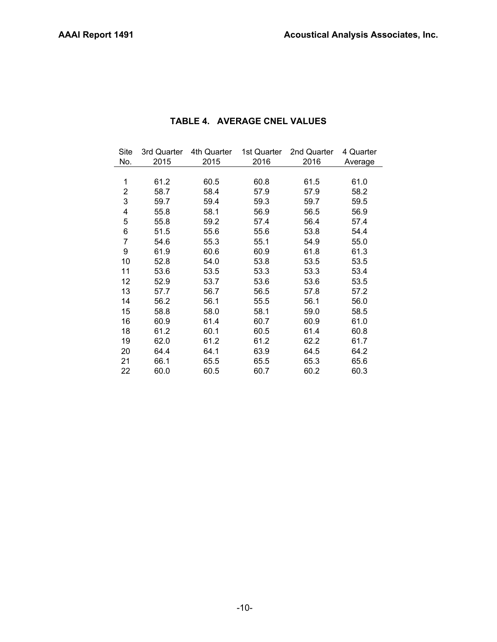| Site<br>No. | 3rd Quarter<br>2015 | 4th Quarter<br>2015 | 1st Quarter<br>2016 | 2nd Quarter<br>2016 | 4 Quarter<br>Average |
|-------------|---------------------|---------------------|---------------------|---------------------|----------------------|
|             |                     |                     |                     |                     |                      |
| 1           | 61.2                | 60.5                | 60.8                | 61.5                | 61.0                 |
| 2           | 58.7                | 58.4                | 57.9                | 57.9                | 58.2                 |
| 3           | 59.7                | 59.4                | 59.3                | 59.7                | 59.5                 |
| 4           | 55.8                | 58.1                | 56.9                | 56.5                | 56.9                 |
| 5           | 55.8                | 59.2                | 57.4                | 56.4                | 57.4                 |
| 6           | 51.5                | 55.6                | 55.6                | 53.8                | 54.4                 |
| 7           | 54.6                | 55.3                | 55.1                | 54.9                | 55.0                 |
| 9           | 61.9                | 60.6                | 60.9                | 61.8                | 61.3                 |
| 10          | 52.8                | 54.0                | 53.8                | 53.5                | 53.5                 |
| 11          | 53.6                | 53.5                | 53.3                | 53.3                | 53.4                 |
| 12          | 52.9                | 53.7                | 53.6                | 53.6                | 53.5                 |
| 13          | 57.7                | 56.7                | 56.5                | 57.8                | 57.2                 |
| 14          | 56.2                | 56.1                | 55.5                | 56.1                | 56.0                 |
| 15          | 58.8                | 58.0                | 58.1                | 59.0                | 58.5                 |
| 16          | 60.9                | 61.4                | 60.7                | 60.9                | 61.0                 |
| 18          | 61.2                | 60.1                | 60.5                | 61.4                | 60.8                 |
| 19          | 62.0                | 61.2                | 61.2                | 62.2                | 61.7                 |
| 20          | 64.4                | 64.1                | 63.9                | 64.5                | 64.2                 |
| 21          | 66.1                | 65.5                | 65.5                | 65.3                | 65.6                 |
| 22          | 60.0                | 60.5                | 60.7                | 60.2                | 60.3                 |

# **TABLE 4. AVERAGE CNEL VALUES**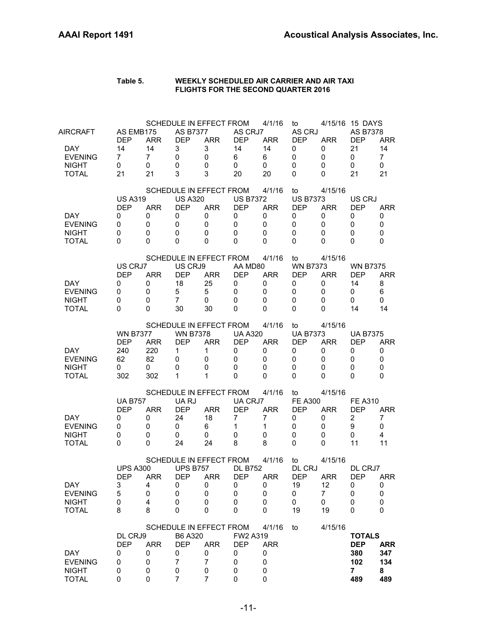| Table 5. | WEEKLY SCHEDULED AIR CARRIER AND AIR TAXI  |
|----------|--------------------------------------------|
|          | <b>FLIGHTS FOR THE SECOND QUARTER 2016</b> |

| AIRCRAFT<br><b>DAY</b><br><b>EVENING</b><br><b>NIGHT</b><br><b>TOTAL</b> | AS EMB175<br><b>DEP</b><br>14<br>7<br>0<br>21           | <b>ARR</b><br>14<br>$\overline{7}$<br>0<br>21 | <b>AS B7377</b><br><b>DEP</b><br>3<br>0<br>0<br>3                   | SCHEDULE IN EFFECT FROM<br><b>ARR</b><br>3<br>0<br>0<br>3              | AS CRJ7<br><b>DEP</b><br>14<br>6<br>0<br>20              | 4/1/16<br><b>ARR</b><br>14<br>6<br>0<br>20                          | to<br>AS CRJ<br><b>DEP</b><br>0<br>0<br>0<br>0                    | <b>ARR</b><br>0<br>0<br>0<br>0              | 4/15/16 15 DAYS<br><b>AS B7378</b><br><b>DEP</b><br>21<br>0<br>0<br>21 | <b>ARR</b><br>14<br>$\overline{7}$<br>0<br>21 |
|--------------------------------------------------------------------------|---------------------------------------------------------|-----------------------------------------------|---------------------------------------------------------------------|------------------------------------------------------------------------|----------------------------------------------------------|---------------------------------------------------------------------|-------------------------------------------------------------------|---------------------------------------------|------------------------------------------------------------------------|-----------------------------------------------|
| DAY.<br><b>EVENING</b><br><b>NIGHT</b><br>TOTAL                          | <b>US A319</b><br><b>DEP</b><br>0<br>0<br>0<br>$\Omega$ | <b>ARR</b><br>0<br>0<br>0<br>$\Omega$         | <b>US A320</b><br><b>DEP</b><br>0<br>0<br>$\mathbf 0$<br>0          | SCHEDULE IN EFFECT FROM<br><b>ARR</b><br>0<br>0<br>0<br>0              | <b>US B7372</b><br><b>DEP</b><br>0<br>0<br>0<br>$\Omega$ | 4/1/16<br><b>ARR</b><br>0<br>0<br>$\mathbf 0$<br>$\Omega$           | to<br><b>US B7373</b><br><b>DEP</b><br>0<br>0<br>$\mathbf 0$<br>0 | 4/15/16<br><b>ARR</b><br>0<br>0<br>0<br>0   | US CRJ<br><b>DFP</b><br>0<br>0<br>0<br>$\Omega$                        | <b>ARR</b><br>0<br>0<br>0<br>0                |
| DAY.<br><b>EVENING</b><br><b>NIGHT</b><br><b>TOTAL</b>                   | US CRJ7<br><b>DEP</b><br>0<br>0<br>0<br>$\Omega$        | <b>ARR</b><br>0<br>0<br>0<br>$\Omega$         | US CRJ9<br><b>DEP</b><br>18<br>5<br>$\overline{7}$<br>30            | SCHEDULE IN EFFECT FROM<br><b>ARR</b><br>25<br>5<br>0<br>30            | AA MD80<br><b>DEP</b><br>0<br>0<br>0<br>$\Omega$         | 4/1/16<br><b>ARR</b><br>0<br>$\mathbf 0$<br>$\mathbf 0$<br>$\Omega$ | to<br><b>WN B7373</b><br><b>DEP</b><br>0<br>0<br>$\mathbf 0$<br>0 | 4/15/16<br><b>ARR</b><br>0<br>0<br>0<br>0   | <b>WN B7375</b><br><b>DEP</b><br>14<br>0<br>0<br>14                    | <b>ARR</b><br>8<br>6<br>0<br>14               |
| <b>DAY</b><br><b>EVENING</b><br><b>NIGHT</b><br><b>TOTAL</b>             | <b>WN B7377</b><br><b>DEP</b><br>240<br>62<br>0<br>302  | <b>ARR</b><br>220<br>82<br>0<br>302           | <b>WN B7378</b><br><b>DEP</b><br>1<br>0<br>0<br>1                   | SCHEDULE IN EFFECT FROM<br><b>ARR</b><br>1<br>0<br>0<br>1              | <b>UA A320</b><br><b>DEP</b><br>0<br>0<br>0<br>$\Omega$  | 4/1/16<br><b>ARR</b><br>0<br>$\mathbf 0$<br>$\mathbf 0$<br>0        | to<br><b>UA B7373</b><br><b>DEP</b><br>0<br>0<br>$\mathbf 0$<br>0 | 4/15/16<br><b>ARR</b><br>0<br>0<br>0<br>0   | <b>UA B7375</b><br><b>DEP</b><br>0<br>0<br>0<br>0                      | <b>ARR</b><br>0<br>$\mathbf 0$<br>0<br>0      |
| <b>DAY</b><br><b>EVENING</b><br><b>NIGHT</b><br><b>TOTAL</b>             | <b>UA B757</b><br><b>DEP</b><br>0<br>0<br>0<br>0        | <b>ARR</b><br>0<br>0<br>0<br>$\Omega$         | UA RJ<br><b>DEP</b><br>24<br>0<br>0<br>24                           | SCHEDULE IN EFFECT FROM<br><b>ARR</b><br>18<br>6<br>0<br>24            | UA CRJ7<br><b>DEP</b><br>$\overline{7}$<br>1<br>0<br>8   | 4/1/16<br><b>ARR</b><br>$\overline{7}$<br>$\mathbf{1}$<br>0<br>8    | to<br><b>FE A300</b><br><b>DEP</b><br>0<br>0<br>$\mathbf 0$<br>0  | 4/15/16<br><b>ARR</b><br>0<br>0<br>0<br>0   | <b>FE A310</b><br><b>DEP</b><br>$\overline{2}$<br>9<br>0<br>11         | <b>ARR</b><br>7<br>0<br>4<br>11               |
| DAY<br><b>EVENING</b><br><b>NIGHT</b><br><b>TOTAL</b>                    | <b>UPS A300</b><br><b>DEP</b><br>3<br>5<br>0<br>8       | <b>ARR</b><br>4<br>0<br>4<br>8                | <b>UPS B757</b><br><b>DEP</b><br>0<br>0<br>0<br>$\mathbf 0$         | SCHEDULE IN EFFECT FROM<br><b>ARR</b><br>0<br>0<br>0<br>0              | <b>DL B752</b><br><b>DEP</b><br>0<br>0<br>0<br>0         | 4/1/16<br><b>ARR</b><br>0<br>0<br>0<br>0                            | to<br>DL CRJ<br><b>DEP</b><br>19<br>0<br>0<br>19                  | 4/15/16<br><b>ARR</b><br>12<br>7<br>0<br>19 | DL CRJ7<br><b>DEP</b><br>0<br>0<br>0<br>0                              | <b>ARR</b><br>0<br>0<br>0<br>0                |
| <b>DAY</b><br><b>EVENING</b><br><b>NIGHT</b><br><b>TOTAL</b>             | DL CRJ9<br><b>DEP</b><br>0<br>0<br>0<br>0               | <b>ARR</b><br>0<br>0<br>0<br>$\mathbf 0$      | B6 A320<br><b>DEP</b><br>0<br>$\overline{7}$<br>0<br>$\overline{7}$ | SCHEDULE IN EFFECT FROM<br><b>ARR</b><br>0<br>$\overline{7}$<br>0<br>7 | FW2 A319<br><b>DEP</b><br>0<br>0<br>0<br>0               | 4/1/16<br><b>ARR</b><br>0<br>0<br>0<br>$\mathbf 0$                  | to                                                                | 4/15/16                                     | <b>TOTALS</b><br><b>DEP</b><br>380<br>102<br>$\overline{7}$<br>489     | <b>ARR</b><br>347<br>134<br>8<br>489          |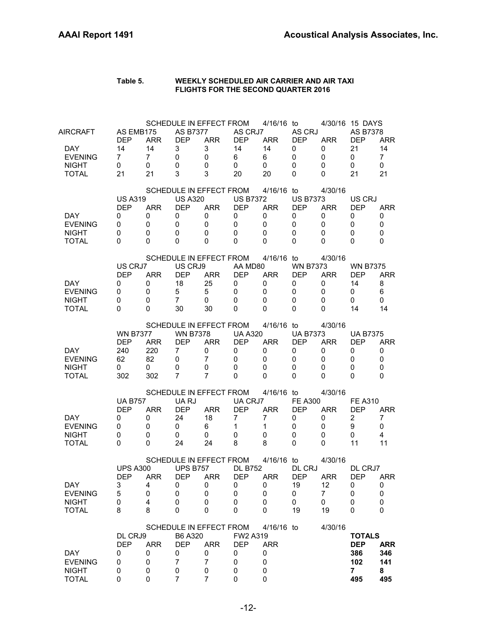| Table 5. | WEEKLY SCHEDULED AIR CARRIER AND AIR TAXI  |
|----------|--------------------------------------------|
|          | <b>FLIGHTS FOR THE SECOND QUARTER 2016</b> |

| AIRCRAFT<br><b>DAY</b><br><b>EVENING</b><br><b>NIGHT</b><br><b>TOTAL</b> | AS EMB175<br><b>DEP</b><br>14<br>$\mathbf{7}$<br>0<br>21   | <b>ARR</b><br>14<br>$\overline{7}$<br>0<br>21 | <b>AS B7377</b><br><b>DEP</b><br>3<br>0<br>0<br>3                        | SCHEDULE IN EFFECT FROM<br><b>ARR</b><br>3<br>0<br>0<br>3              | AS CRJ7<br><b>DEP</b><br>14<br>6<br>0<br>20                        | 4/16/16 to<br><b>ARR</b><br>14<br>6<br>0<br>20                            | AS CRJ<br><b>DEP</b><br>0<br>0<br>0<br>0                           | <b>ARR</b><br>0<br>0<br>0<br>0              | 4/30/16 15 DAYS<br>AS B7378<br><b>DEP</b><br>21<br>0<br>0<br>21    | <b>ARR</b><br>14<br>$\overline{7}$<br>0<br>21 |
|--------------------------------------------------------------------------|------------------------------------------------------------|-----------------------------------------------|--------------------------------------------------------------------------|------------------------------------------------------------------------|--------------------------------------------------------------------|---------------------------------------------------------------------------|--------------------------------------------------------------------|---------------------------------------------|--------------------------------------------------------------------|-----------------------------------------------|
| <b>DAY</b><br><b>EVENING</b><br><b>NIGHT</b><br><b>TOTAL</b>             | <b>US A319</b><br><b>DEP</b><br>0<br>0<br>$\mathbf 0$<br>0 | <b>ARR</b><br>0<br>0<br>0<br>$\Omega$         | <b>US A320</b><br><b>DEP</b><br>0<br>0<br>0<br>0                         | SCHEDULE IN EFFECT FROM<br><b>ARR</b><br>0<br>0<br>0<br>0              | <b>US B7372</b><br><b>DEP</b><br>0<br>$\mathbf 0$<br>0<br>$\Omega$ | 4/16/16 to<br><b>ARR</b><br>0<br>0<br>$\mathbf 0$<br>$\Omega$             | <b>US B7373</b><br><b>DEP</b><br>0<br>0<br>$\mathbf 0$<br>$\Omega$ | 4/30/16<br><b>ARR</b><br>0<br>0<br>0<br>0   | US CRJ<br><b>DEP</b><br>0<br>0<br>0<br>$\Omega$                    | <b>ARR</b><br>0<br>0<br>0<br>0                |
| DAY.<br><b>EVENING</b><br><b>NIGHT</b><br><b>TOTAL</b>                   | US CRJ7<br><b>DEP</b><br>0<br>0<br>0<br>$\Omega$           | <b>ARR</b><br>0<br>0<br>0<br>$\Omega$         | US CRJ9<br><b>DEP</b><br>18<br>5<br>$\overline{7}$<br>30                 | SCHEDULE IN EFFECT FROM<br><b>ARR</b><br>25<br>5<br>0<br>30            | AA MD80<br><b>DEP</b><br>0<br>0<br>0<br>$\Omega$                   | 4/16/16 to<br><b>ARR</b><br>0<br>0<br>0<br>0                              | <b>WN B7373</b><br><b>DEP</b><br>0<br>0<br>0<br>0                  | 4/30/16<br><b>ARR</b><br>0<br>0<br>0<br>0   | <b>WN B7375</b><br><b>DEP</b><br>14<br>0<br>0<br>14                | <b>ARR</b><br>8<br>6<br>0<br>14               |
| DAY.<br><b>EVENING</b><br><b>NIGHT</b><br><b>TOTAL</b>                   | <b>WN B7377</b><br><b>DEP</b><br>240<br>62<br>0<br>302     | <b>ARR</b><br>220<br>82<br>0<br>302           | <b>WN B7378</b><br><b>DEP</b><br>$\overline{7}$<br>$\mathbf 0$<br>0<br>7 | SCHEDULE IN EFFECT FROM<br><b>ARR</b><br>0<br>$\overline{7}$<br>0<br>7 | <b>UA A320</b><br><b>DEP</b><br>0<br>$\mathbf 0$<br>0<br>$\Omega$  | $4/16/16$ to<br><b>ARR</b><br>0<br>$\mathbf 0$<br>$\mathbf 0$<br>$\Omega$ | <b>UA B7373</b><br><b>DEP</b><br>0<br>0<br>$\mathbf 0$<br>0        | 4/30/16<br><b>ARR</b><br>0<br>0<br>0<br>0   | <b>UA B7375</b><br><b>DEP</b><br>0<br>0<br>0<br>$\Omega$           | <b>ARR</b><br>0<br>$\mathbf 0$<br>0<br>0      |
| <b>DAY</b><br><b>EVENING</b><br><b>NIGHT</b><br><b>TOTAL</b>             | <b>UA B757</b><br><b>DEP</b><br>0<br>0<br>0<br>0           | <b>ARR</b><br>0<br>0<br>0<br>$\Omega$         | UA RJ<br><b>DEP</b><br>24<br>0<br>0<br>24                                | SCHEDULE IN EFFECT FROM<br><b>ARR</b><br>18<br>6<br>0<br>24            | UA CRJ7<br><b>DEP</b><br>$\overline{7}$<br>$\mathbf{1}$<br>0<br>8  | 4/16/16 to<br><b>ARR</b><br>7<br>$\mathbf{1}$<br>0<br>8                   | <b>FE A300</b><br><b>DEP</b><br>0<br>0<br>0<br>0                   | 4/30/16<br><b>ARR</b><br>0<br>0<br>0<br>0   | <b>FE A310</b><br><b>DEP</b><br>$\overline{2}$<br>9<br>0<br>11     | ARR.<br>7<br>0<br>4<br>11                     |
| <b>DAY</b><br><b>EVENING</b><br><b>NIGHT</b><br><b>TOTAL</b>             | <b>UPS A300</b><br><b>DEP</b><br>3<br>5<br>0<br>8          | <b>ARR</b><br>4<br>0<br>4<br>8                | <b>UPS B757</b><br><b>DEP</b><br>0<br>$\mathbf 0$<br>0<br>$\mathbf 0$    | SCHEDULE IN EFFECT FROM<br><b>ARR</b><br>0<br>0<br>0<br>0              | <b>DL B752</b><br><b>DEP</b><br>0<br>0<br>0<br>0                   | 4/16/16 to<br><b>ARR</b><br>0<br>0<br>0<br>0                              | DL CRJ<br><b>DEP</b><br>19<br>0<br>0<br>19                         | 4/30/16<br><b>ARR</b><br>12<br>7<br>0<br>19 | DL CRJ7<br><b>DEP</b><br>0<br>0<br>0<br>0                          | <b>ARR</b><br>0<br>0<br>0<br>0                |
| <b>DAY</b><br><b>EVENING</b><br><b>NIGHT</b><br><b>TOTAL</b>             | DL CRJ9<br><b>DEP</b><br>0<br>0<br>0<br>0                  | <b>ARR</b><br>0<br>0<br>0<br>$\mathbf 0$      | B6 A320<br><b>DEP</b><br>$\pmb{0}$<br>7<br>0<br>7                        | SCHEDULE IN EFFECT FROM<br><b>ARR</b><br>0<br>$\overline{7}$<br>0<br>7 | FW2 A319<br><b>DEP</b><br>0<br>0<br>0<br>0                         | 4/16/16 to<br><b>ARR</b><br>0<br>0<br>0<br>$\mathbf 0$                    |                                                                    | 4/30/16                                     | <b>TOTALS</b><br><b>DEP</b><br>386<br>102<br>$\overline{7}$<br>495 | <b>ARR</b><br>346<br>141<br>8<br>495          |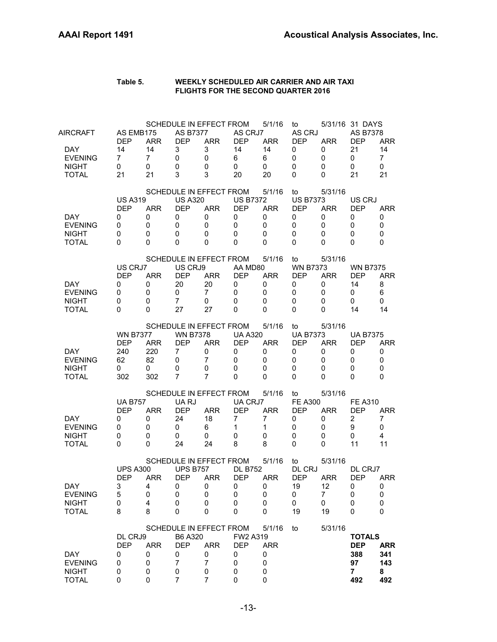| Table 5. | WEEKLY SCHEDULED AIR CARRIER AND AIR TAXI<br><b>FLIGHTS FOR THE SECOND QUARTER 2016</b> |
|----------|-----------------------------------------------------------------------------------------|
|          |                                                                                         |

| AIRCRAFT<br><b>DAY</b><br><b>EVENING</b><br><b>NIGHT</b><br><b>TOTAL</b> | AS EMB175<br><b>DEP</b><br>14<br>7<br>0<br>21           | <b>ARR</b><br>14<br>7<br>0<br>21         | <b>AS B7377</b><br><b>DEP</b><br>3<br>$\mathbf 0$<br>0<br>3 | SCHEDULE IN EFFECT FROM<br><b>ARR</b><br>3<br>0<br>0<br>3                | AS CRJ7<br><b>DEP</b><br>14<br>6<br>0<br>20                | 5/1/16<br><b>ARR</b><br>14<br>6<br>0<br>20                | to<br>AS CRJ<br><b>DEP</b><br>0<br>0<br>0<br>0                 | <b>ARR</b><br>0<br>0<br>0<br>0              | 5/31/16 31 DAYS<br><b>AS B7378</b><br><b>DEP</b><br>21<br>0<br>0<br>21 | <b>ARR</b><br>14<br>$\overline{7}$<br>0<br>21   |
|--------------------------------------------------------------------------|---------------------------------------------------------|------------------------------------------|-------------------------------------------------------------|--------------------------------------------------------------------------|------------------------------------------------------------|-----------------------------------------------------------|----------------------------------------------------------------|---------------------------------------------|------------------------------------------------------------------------|-------------------------------------------------|
| DAY<br><b>EVENING</b><br><b>NIGHT</b><br><b>TOTAL</b>                    | <b>US A319</b><br><b>DEP</b><br>0<br>0<br>0<br>0        | <b>ARR</b><br>0<br>0<br>$\mathbf 0$<br>0 | <b>US A320</b><br><b>DEP</b><br>0<br>0<br>0<br>0            | SCHEDULE IN EFFECT FROM<br><b>ARR</b><br>0<br>0<br>0<br>0                | <b>US B7372</b><br><b>DEP</b><br>0<br>0<br>0<br>$\Omega$   | 5/1/16<br><b>ARR</b><br>0<br>0<br>0<br>0                  | to<br><b>US B7373</b><br><b>DEP</b><br>0<br>0<br>0<br>0        | 5/31/16<br><b>ARR</b><br>0<br>0<br>0<br>0   | US CRJ<br><b>DEP</b><br>0<br>0<br>0<br>0                               | <b>ARR</b><br>0<br>0<br>0<br>0                  |
| <b>DAY</b><br><b>EVENING</b><br><b>NIGHT</b><br><b>TOTAL</b>             | US CRJ7<br><b>DEP</b><br>0<br>0<br>0<br>$\Omega$        | <b>ARR</b><br>0<br>0<br>0<br>$\Omega$    | US CRJ9<br><b>DEP</b><br>20<br>0<br>$\overline{7}$<br>27    | SCHEDULE IN EFFECT FROM<br><b>ARR</b><br>20<br>$\overline{7}$<br>0<br>27 | AA MD80<br><b>DEP</b><br>0<br>0<br>0<br>$\Omega$           | 5/1/16<br><b>ARR</b><br>0<br>$\mathbf 0$<br>0<br>$\Omega$ | to<br><b>WN B7373</b><br><b>DEP</b><br>0<br>0<br>0<br>0        | 5/31/16<br><b>ARR</b><br>0<br>0<br>0<br>0   | <b>WN B7375</b><br><b>DEP</b><br>14<br>0<br>0<br>14                    | <b>ARR</b><br>8<br>6<br>0<br>14                 |
| DAY.<br><b>EVENING</b><br><b>NIGHT</b><br><b>TOTAL</b>                   | <b>WN B7377</b><br><b>DEP</b><br>240<br>62<br>0<br>302  | <b>ARR</b><br>220<br>82<br>0<br>302      | <b>WN B7378</b><br><b>DEP</b><br>7<br>0<br>0<br>7           | SCHEDULE IN EFFECT FROM<br><b>ARR</b><br>0<br>7<br>0<br>7                | <b>UA A320</b><br><b>DEP</b><br>0<br>0<br>0<br>$\Omega$    | 5/1/16<br><b>ARR</b><br>0<br>$\mathbf 0$<br>0<br>0        | to<br><b>UA B7373</b><br><b>DEP</b><br>0<br>0<br>0<br>$\Omega$ | 5/31/16<br><b>ARR</b><br>0<br>0<br>0<br>0   | <b>UA B7375</b><br><b>DEP</b><br>0<br>0<br>0<br>$\Omega$               | <b>ARR</b><br>0<br>$\mathbf 0$<br>0<br>$\Omega$ |
| DAY.<br><b>EVENING</b><br><b>NIGHT</b><br><b>TOTAL</b>                   | <b>UA B757</b><br><b>DEP</b><br>0<br>0<br>0<br>$\Omega$ | <b>ARR</b><br>0<br>0<br>0<br>0           | UA RJ<br><b>DEP</b><br>24<br>0<br>0<br>24                   | SCHEDULE IN EFFECT FROM<br><b>ARR</b><br>18<br>6<br>0<br>24              | UA CRJ7<br><b>DEP</b><br>$\overline{7}$<br>1<br>0<br>8     | 5/1/16<br><b>ARR</b><br>7<br>1<br>0<br>8                  | to<br><b>FE A300</b><br><b>DEP</b><br>0<br>0<br>0<br>0         | 5/31/16<br><b>ARR</b><br>0<br>0<br>0<br>0   | <b>FE A310</b><br><b>DEP</b><br>$\overline{2}$<br>9<br>0<br>11         | <b>ARR</b><br>7<br>0<br>$\overline{4}$<br>11    |
| <b>DAY</b><br><b>EVENING</b><br><b>NIGHT</b><br><b>TOTAL</b>             | <b>UPS A300</b><br><b>DEP</b><br>3<br>5<br>0<br>8       | <b>ARR</b><br>4<br>0<br>4<br>8           | <b>UPS B757</b><br><b>DEP</b><br>0<br>0<br>0<br>0           | SCHEDULE IN EFFECT FROM<br><b>ARR</b><br>0<br>0<br>0<br>0                | <b>DL B752</b><br><b>DEP</b><br>0<br>$\mathbf 0$<br>0<br>0 | 5/1/16<br><b>ARR</b><br>0<br>0<br>0<br>0                  | to<br>DL CRJ<br><b>DEP</b><br>19<br>0<br>0<br>19               | 5/31/16<br><b>ARR</b><br>12<br>7<br>0<br>19 | DL CRJ7<br><b>DEP</b><br>0<br>0<br>$\mathbf 0$<br>0                    | <b>ARR</b><br>0<br>0<br>0<br>0                  |
| <b>DAY</b><br><b>EVENING</b><br><b>NIGHT</b><br><b>TOTAL</b>             | DL CRJ9<br><b>DEP</b><br>0<br>0<br>0<br>0               | <b>ARR</b><br>0<br>0<br>0<br>0           | B6 A320<br><b>DEP</b><br>0<br>7<br>0<br>$\overline{7}$      | SCHEDULE IN EFFECT FROM<br><b>ARR</b><br>0<br>7<br>0<br>7                | FW2 A319<br><b>DEP</b><br>0<br>0<br>0<br>0                 | 5/1/16<br><b>ARR</b><br>0<br>0<br>0<br>0                  | to                                                             | 5/31/16                                     | <b>TOTALS</b><br><b>DEP</b><br>388<br>97<br>7<br>492                   | <b>ARR</b><br>341<br>143<br>8<br>492            |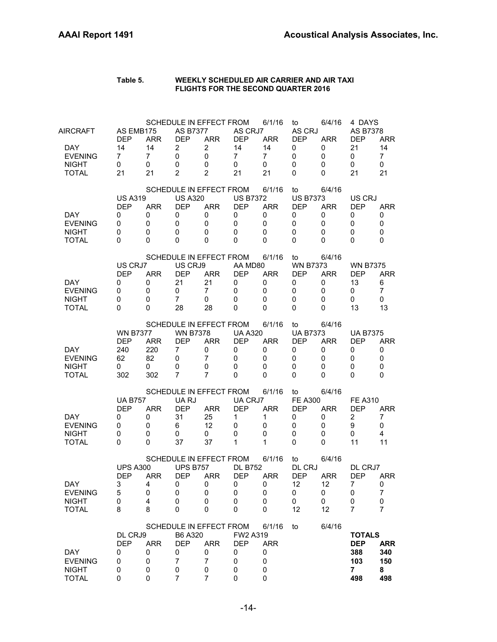| Table 5. | WEEKLY SCHEDULED AIR CARRIER AND AIR TAXI  |
|----------|--------------------------------------------|
|          | <b>FLIGHTS FOR THE SECOND QUARTER 2016</b> |

| <b>AIRCRAFT</b><br>DAY.<br><b>EVENING</b><br><b>NIGHT</b><br><b>TOTAL</b> | AS EMB175<br><b>DEP</b><br>14<br>$\overline{7}$<br>0<br>21 | <b>ARR</b><br>14<br>$\overline{7}$<br>0<br>21 | <b>AS B7377</b><br><b>DEP</b><br>2<br>$\mathbf 0$<br>0<br>$\overline{2}$ | SCHEDULE IN EFFECT FROM<br><b>ARR</b><br>$\overline{c}$<br>0<br>0<br>$\overline{2}$ | AS CRJ7<br><b>DEP</b><br>14<br>$\overline{7}$<br>$\mathbf{0}$<br>21 | 6/1/16<br><b>ARR</b><br>14<br>$\overline{7}$<br>0<br>21   | to<br>AS CRJ<br><b>DEP</b><br>0<br>0<br>0<br>0          | 6/4/16<br><b>ARR</b><br>0<br>0<br>0<br>0   | 4 DAYS<br><b>AS B7378</b><br><b>DEP</b><br>21<br>0<br>0<br>21      | <b>ARR</b><br>14<br>$\overline{7}$<br>0<br>21   |
|---------------------------------------------------------------------------|------------------------------------------------------------|-----------------------------------------------|--------------------------------------------------------------------------|-------------------------------------------------------------------------------------|---------------------------------------------------------------------|-----------------------------------------------------------|---------------------------------------------------------|--------------------------------------------|--------------------------------------------------------------------|-------------------------------------------------|
| DAY.<br><b>EVENING</b><br><b>NIGHT</b><br><b>TOTAL</b>                    | <b>US A319</b><br><b>DEP</b><br>0<br>0<br>0<br>0           | <b>ARR</b><br>0<br>0<br>0<br>$\Omega$         | <b>US A320</b><br><b>DEP</b><br>0<br>$\mathbf 0$<br>0<br>$\Omega$        | SCHEDULE IN EFFECT FROM<br><b>ARR</b><br>0<br>0<br>0<br>0                           | <b>US B7372</b><br><b>DEP</b><br>0<br>$\mathbf 0$<br>0<br>$\Omega$  | 6/1/16<br><b>ARR</b><br>0<br>$\mathbf 0$<br>0<br>$\Omega$ | to<br><b>US B7373</b><br><b>DEP</b><br>0<br>0<br>0<br>0 | 6/4/16<br><b>ARR</b><br>0<br>0<br>0<br>0   | US CRJ<br><b>DEP</b><br>0<br>$\mathbf 0$<br>0<br>$\Omega$          | ARR<br>0<br>$\mathbf 0$<br>0<br>$\Omega$        |
| DAY.<br><b>EVENING</b><br><b>NIGHT</b><br><b>TOTAL</b>                    | US CRJ7<br><b>DEP</b><br>0<br>0<br>0<br>0                  | <b>ARR</b><br>0<br>$\mathbf 0$<br>0<br>0      | US CRJ9<br><b>DEP</b><br>21<br>0<br>7<br>28                              | SCHEDULE IN EFFECT FROM<br><b>ARR</b><br>21<br>$\overline{7}$<br>0<br>28            | AA MD80<br><b>DEP</b><br>0<br>$\mathbf 0$<br>0<br>$\Omega$          | 6/1/16<br><b>ARR</b><br>0<br>$\mathbf 0$<br>0<br>$\Omega$ | to<br><b>WN B7373</b><br><b>DEP</b><br>0<br>0<br>0<br>0 | 6/4/16<br><b>ARR</b><br>0<br>0<br>0<br>0   | <b>WN B7375</b><br><b>DEP</b><br>13<br>0<br>0<br>13                | <b>ARR</b><br>6<br>7<br>0<br>13                 |
| <b>DAY</b><br><b>EVENING</b><br><b>NIGHT</b><br><b>TOTAL</b>              | <b>WN B7377</b><br><b>DEP</b><br>240<br>62<br>0<br>302     | <b>ARR</b><br>220<br>82<br>0<br>302           | <b>WN B7378</b><br><b>DEP</b><br>7<br>0<br>0<br>$\overline{7}$           | SCHEDULE IN EFFECT FROM<br><b>ARR</b><br>0<br>$\overline{7}$<br>0<br>7              | <b>UA A320</b><br><b>DEP</b><br>0<br>0<br>$\Omega$<br>0             | 6/1/16<br><b>ARR</b><br>0<br>0<br>0<br>0                  | to<br><b>UA B7373</b><br><b>DEP</b><br>0<br>0<br>0<br>0 | 6/4/16<br><b>ARR</b><br>0<br>0<br>0<br>0   | <b>UA B7375</b><br>DEP<br>0<br>0<br>0<br>0                         | <b>ARR</b><br>0<br>0<br>$\mathbf 0$<br>$\Omega$ |
| DAY.<br><b>EVENING</b><br><b>NIGHT</b><br><b>TOTAL</b>                    | <b>UA B757</b><br><b>DEP</b><br>0<br>0<br>0<br>0           | <b>ARR</b><br>0<br>0<br>0<br>0                | UA RJ<br><b>DEP</b><br>31<br>6<br>0<br>37                                | SCHEDULE IN EFFECT FROM<br><b>ARR</b><br>25<br>12<br>0<br>37                        | UA CRJ7<br><b>DEP</b><br>$\mathbf{1}$<br>0<br>$\mathbf 0$<br>1      | 6/1/16<br><b>ARR</b><br>1<br>0<br>0<br>1                  | to<br><b>FE A300</b><br><b>DEP</b><br>0<br>0<br>0<br>0  | 6/4/16<br><b>ARR</b><br>0<br>0<br>0<br>0   | <b>FE A310</b><br><b>DEP</b><br>2<br>9<br>0<br>11                  | <b>ARR</b><br>7<br>0<br>$\overline{4}$<br>11    |
| DAY<br><b>EVENING</b><br><b>NIGHT</b><br><b>TOTAL</b>                     | <b>UPS A300</b><br><b>DEP</b><br>3<br>5<br>0<br>8          | <b>ARR</b><br>4<br>0<br>4<br>8                | <b>UPS B757</b><br><b>DEP</b><br>0<br>0<br>0<br>0                        | SCHEDULE IN EFFECT FROM<br><b>ARR</b><br>0<br>0<br>0<br>0                           | <b>DL B752</b><br><b>DEP</b><br>0<br>0<br>0<br>0                    | 6/1/16<br><b>ARR</b><br>0<br>0<br>0<br>0                  | to<br>DL CRJ<br><b>DEP</b><br>12<br>0<br>0<br>12        | 6/4/16<br><b>ARR</b><br>12<br>0<br>0<br>12 | DL CRJ7<br><b>DEP</b><br>7<br>0<br>0<br>7                          | <b>ARR</b><br>0<br>$\overline{7}$<br>0<br>7     |
| DAY<br><b>EVENING</b><br><b>NIGHT</b><br><b>TOTAL</b>                     | DL CRJ9<br><b>DEP</b><br>0<br>0<br>0<br>0                  | <b>ARR</b><br>0<br>0<br>0<br>0                | B6 A320<br><b>DEP</b><br>0<br>$\overline{7}$<br>0<br>7                   | SCHEDULE IN EFFECT FROM<br><b>ARR</b><br>0<br>$\overline{7}$<br>0<br>7              | FW2 A319<br><b>DEP</b><br>0<br>$\mathbf 0$<br>0<br>0                | 6/1/16<br><b>ARR</b><br>0<br>0<br>0<br>0                  | to                                                      | 6/4/16                                     | <b>TOTALS</b><br><b>DEP</b><br>388<br>103<br>$\overline{7}$<br>498 | ARR<br>340<br>150<br>8<br>498                   |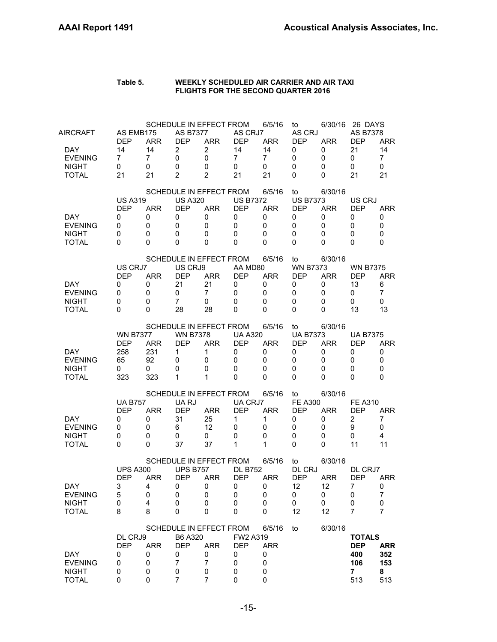| Table 5. | WEEKLY SCHEDULED AIR CARRIER AND AIR TAXI  |
|----------|--------------------------------------------|
|          | <b>FLIGHTS FOR THE SECOND QUARTER 2016</b> |

| AIRCRAFT                                                     | AS EMB175<br><b>DEP</b>                                | <b>ARR</b>                          | <b>SCHEDULE IN EFFECT FROM</b><br><b>AS B7377</b><br><b>DEP</b>                     | <b>ARR</b>                                    | AS CRJ7<br><b>DEP</b>                                      | 6/5/16<br><b>ARR</b>                                                 | to<br>AS CRJ<br><b>DEP</b>                              | 6/30/16<br><b>ARR</b>                       | 26 DAYS<br><b>AS B7378</b><br><b>DEP</b>                       | <b>ARR</b>                                        |
|--------------------------------------------------------------|--------------------------------------------------------|-------------------------------------|-------------------------------------------------------------------------------------|-----------------------------------------------|------------------------------------------------------------|----------------------------------------------------------------------|---------------------------------------------------------|---------------------------------------------|----------------------------------------------------------------|---------------------------------------------------|
| <b>DAY</b><br><b>EVENING</b><br><b>NIGHT</b><br><b>TOTAL</b> | 14<br>7<br>0<br>21                                     | 14<br>7<br>0<br>21                  | $\overline{c}$<br>0<br>0<br>$\overline{2}$                                          | $\overline{2}$<br>0<br>0<br>$\overline{2}$    | 14<br>$\overline{7}$<br>0<br>21                            | 14<br>7<br>0<br>21                                                   | 0<br>0<br>0<br>0                                        | 0<br>0<br>0<br>0                            | 21<br>0<br>0<br>21                                             | 14<br>$\overline{7}$<br>0<br>21                   |
| DAY<br><b>EVENING</b><br><b>NIGHT</b><br><b>TOTAL</b>        | <b>US A319</b><br><b>DEP</b><br>0<br>0<br>0<br>0       | <b>ARR</b><br>0<br>0<br>0<br>0      | SCHEDULE IN EFFECT FROM<br><b>US A320</b><br><b>DEP</b><br>0<br>0<br>0<br>0         | <b>ARR</b><br>0<br>0<br>0<br>0                | <b>US B7372</b><br><b>DEP</b><br>0<br>0<br>0<br>$\Omega$   | 6/5/16<br><b>ARR</b><br>0<br>0<br>0<br>$\Omega$                      | to<br><b>US B7373</b><br><b>DEP</b><br>0<br>0<br>0<br>0 | 6/30/16<br><b>ARR</b><br>0<br>0<br>0<br>0   | US CRJ<br><b>DEP</b><br>0<br>0<br>0<br>0                       | <b>ARR</b><br>0<br>$\mathbf 0$<br>0<br>0          |
| DAY.<br><b>EVENING</b><br><b>NIGHT</b><br><b>TOTAL</b>       | US CRJ7<br><b>DEP</b><br>0<br>0<br>0<br>$\Omega$       | <b>ARR</b><br>0<br>0<br>0<br>0      | SCHEDULE IN EFFECT FROM<br>US CRJ9<br><b>DEP</b><br>21<br>0<br>$\overline{7}$<br>28 | <b>ARR</b><br>21<br>$\overline{7}$<br>0<br>28 | AA MD80<br><b>DEP</b><br>0<br>0<br>0<br>$\Omega$           | 6/5/16<br><b>ARR</b><br>0<br>0<br>$\mathbf 0$<br>$\Omega$            | to<br><b>WN B7373</b><br><b>DEP</b><br>0<br>0<br>0<br>0 | 6/30/16<br><b>ARR</b><br>0<br>0<br>0<br>0   | <b>WN B7375</b><br><b>DEP</b><br>13<br>0<br>0<br>13            | <b>ARR</b><br>6<br>$\overline{7}$<br>0<br>13      |
| DAY.<br><b>EVENING</b><br><b>NIGHT</b><br><b>TOTAL</b>       | <b>WN B7377</b><br><b>DEP</b><br>258<br>65<br>0<br>323 | <b>ARR</b><br>231<br>92<br>0<br>323 | SCHEDULE IN EFFECT FROM<br><b>WN B7378</b><br><b>DEP</b><br>1<br>0<br>0<br>1        | ARR<br>1<br>0<br>0<br>1                       | <b>UA A320</b><br><b>DEP</b><br>0<br>0<br>0<br>$\Omega$    | 6/5/16<br><b>ARR</b><br>0<br>0<br>0<br>$\mathbf{0}$                  | to<br><b>UA B7373</b><br><b>DEP</b><br>0<br>0<br>0<br>0 | 6/30/16<br><b>ARR</b><br>0<br>0<br>0<br>0   | <b>UA B7375</b><br><b>DEP</b><br>0<br>0<br>0<br>0              | <b>ARR</b><br>0<br>0<br>0<br>$\Omega$             |
| DAY.<br><b>EVENING</b><br><b>NIGHT</b><br><b>TOTAL</b>       | <b>UA B757</b><br><b>DEP</b><br>0<br>0<br>0<br>0       | <b>ARR</b><br>0<br>0<br>0<br>0      | SCHEDULE IN EFFECT FROM<br>UA RJ<br><b>DEP</b><br>31<br>6<br>0<br>37                | <b>ARR</b><br>25<br>12<br>0<br>37             | UA CRJ7<br><b>DEP</b><br>1<br>0<br>0<br>1                  | 6/5/16<br><b>ARR</b><br>1<br>$\Omega$<br>$\mathbf 0$<br>$\mathbf{1}$ | to<br><b>FE A300</b><br><b>DEP</b><br>0<br>0<br>0<br>0  | 6/30/16<br><b>ARR</b><br>0<br>0<br>0<br>0   | <b>FE A310</b><br><b>DEP</b><br>$\overline{2}$<br>9<br>0<br>11 | <b>ARR</b><br>7<br>0<br>4<br>11                   |
| <b>DAY</b><br><b>EVENING</b><br><b>NIGHT</b><br><b>TOTAL</b> | <b>UPS A300</b><br><b>DEP</b><br>3<br>5<br>0<br>8      | <b>ARR</b><br>4<br>0<br>4<br>8      | SCHEDULE IN EFFECT FROM<br><b>UPS B757</b><br><b>DEP</b><br>0<br>0<br>0<br>0        | <b>ARR</b><br>0<br>0<br>0<br>0                | <b>DL B752</b><br><b>DEP</b><br>0<br>0<br>0<br>$\mathbf 0$ | 6/5/16<br><b>ARR</b><br>0<br>0<br>0<br>$\mathbf 0$                   | to<br>DL CRJ<br><b>DEP</b><br>12<br>0<br>0<br>12        | 6/30/16<br><b>ARR</b><br>12<br>0<br>0<br>12 | DL CRJ7<br><b>DEP</b><br>7<br>0<br>0<br>7                      | ARR<br>0<br>$\overline{7}$<br>0<br>$\overline{7}$ |
| <b>DAY</b><br><b>EVENING</b><br><b>NIGHT</b><br><b>TOTAL</b> | DL CRJ9<br><b>DEP</b><br>0<br>0<br>0<br>0              | <b>ARR</b><br>0<br>0<br>0<br>0      | SCHEDULE IN EFFECT FROM<br>B6 A320<br><b>DEP</b><br>0<br>7<br>0<br>$\overline{7}$   | <b>ARR</b><br>0<br>$\overline{7}$<br>0<br>7   | FW2 A319<br><b>DEP</b><br>0<br>0<br>0<br>0                 | 6/5/16<br><b>ARR</b><br>0<br>0<br>0<br>$\mathbf 0$                   | to                                                      | 6/30/16                                     | <b>TOTALS</b><br><b>DEP</b><br>400<br>106<br>7<br>513          | <b>ARR</b><br>352<br>153<br>8<br>513              |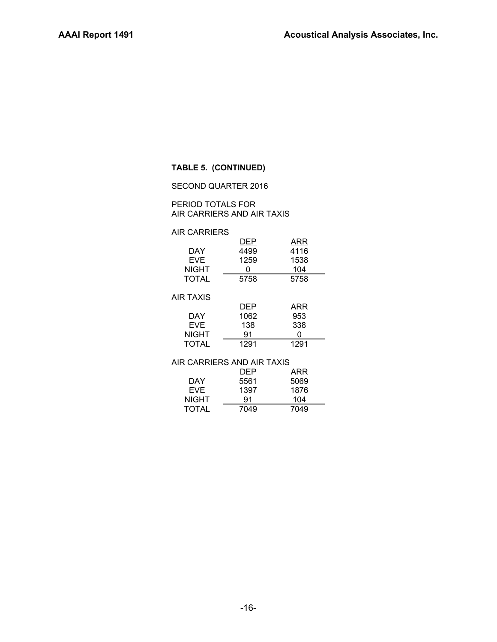#### **TABLE 5. (CONTINUED)**

#### SECOND QUARTER 2016

#### PERIOD TOTALS FOR AIR CARRIERS AND AIR TAXIS

#### AIR CARRIERS

| DEP  | ARR  |
|------|------|
| 4499 | 4116 |
| 1259 | 1538 |
| 0    | 104  |
| 5758 | 5758 |
|      |      |

#### AIR TAXIS

|              | DEP  | ARR  |
|--------------|------|------|
| DAY          | 1062 | 953  |
| <b>EVF</b>   | 138  | 338  |
| <b>NIGHT</b> | 91   | Ω    |
| TOTAL        | 1291 | 1291 |

#### AIR CARRIERS AND AIR TAXIS

|              | <b>DEP</b> | ARR  |
|--------------|------------|------|
| DAY          | 5561       | 5069 |
| EVE.         | 1397       | 1876 |
| <b>NIGHT</b> | 91         | 104  |
| <b>TOTAL</b> | 7049       | 7049 |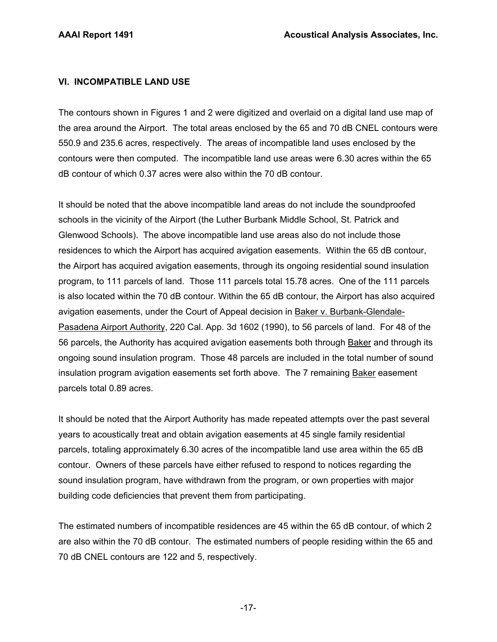## **VI. INCOMPATIBLE LAND USE**

The contours shown in Figures 1 and 2 were digitized and overlaid on a digital land use map of the area around the Airport. The total areas enclosed by the 65 and 70 dB CNEL contours were 550.9 and 235.6 acres, respectively. The areas of incompatible land uses enclosed by the contours were then computed. The incompatible land use areas were 6.30 acres within the 65 dB contour of which 0.37 acres were also within the 70 dB contour.

It should be noted that the above incompatible land areas do not include the soundproofed schools in the vicinity of the Airport (the Luther Burbank Middle School, St. Patrick and Glenwood Schools). The above incompatible land use areas also do not include those residences to which the Airport has acquired avigation easements. Within the 65 dB contour, the Airport has acquired avigation easements, through its ongoing residential sound insulation program, to 111 parcels of land. Those 111 parcels total 15.78 acres. One of the 111 parcels is also located within the 70 dB contour. Within the 65 dB contour, the Airport has also acquired avigation easements, under the Court of Appeal decision in Baker v. Burbank-Glendale-Pasadena Airport Authority, 220 Cal. App. 3d 1602 (1990), to 56 parcels of land. For 48 of the 56 parcels, the Authority has acquired avigation easements both through Baker and through its ongoing sound insulation program. Those 48 parcels are included in the total number of sound insulation program avigation easements set forth above. The 7 remaining Baker easement parcels total 0.89 acres.

It should be noted that the Airport Authority has made repeated attempts over the past several years to acoustically treat and obtain avigation easements at 45 single family residential parcels, totaling approximately 6.30 acres of the incompatible land use area within the 65 dB contour. Owners of these parcels have either refused to respond to notices regarding the sound insulation program, have withdrawn from the program, or own properties with major building code deficiencies that prevent them from participating.

The estimated numbers of incompatible residences are 45 within the 65 dB contour, of which 2 are also within the 70 dB contour. The estimated numbers of people residing within the 65 and 70 dB CNEL contours are 122 and 5, respectively.

-17-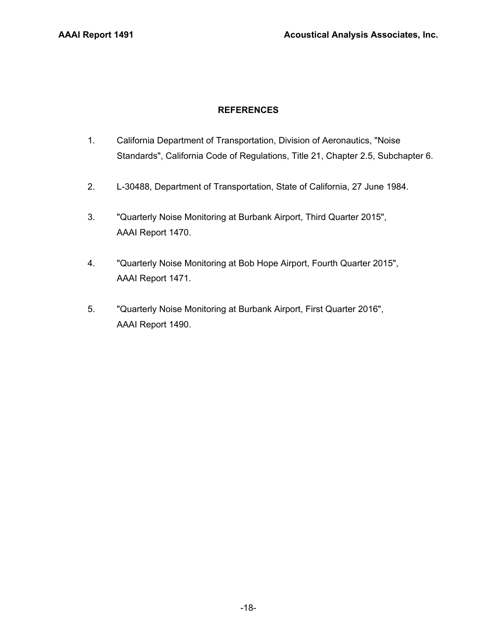## **REFERENCES**

- 1. California Department of Transportation, Division of Aeronautics, "Noise Standards", California Code of Regulations, Title 21, Chapter 2.5, Subchapter 6.
- 2. L-30488, Department of Transportation, State of California, 27 June 1984.
- 3. "Quarterly Noise Monitoring at Burbank Airport, Third Quarter 2015", AAAI Report 1470.
- 4. "Quarterly Noise Monitoring at Bob Hope Airport, Fourth Quarter 2015", AAAI Report 1471.
- 5. "Quarterly Noise Monitoring at Burbank Airport, First Quarter 2016", AAAI Report 1490.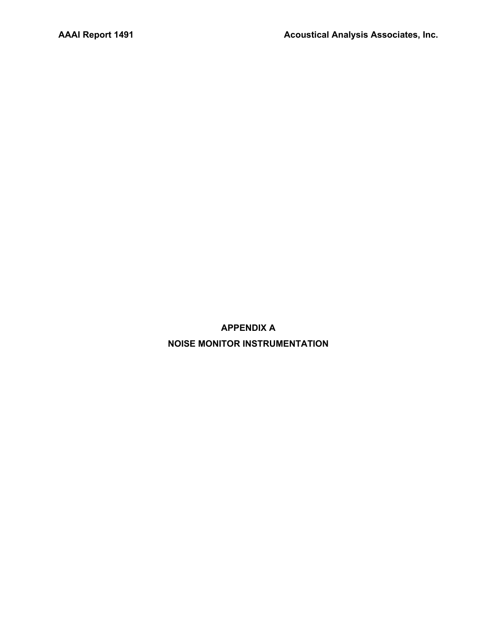**APPENDIX A NOISE MONITOR INSTRUMENTATION**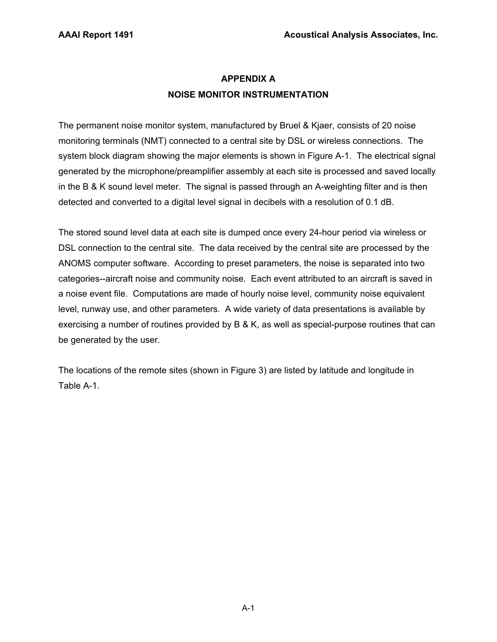# **APPENDIX A NOISE MONITOR INSTRUMENTATION**

The permanent noise monitor system, manufactured by Bruel & Kjaer, consists of 20 noise monitoring terminals (NMT) connected to a central site by DSL or wireless connections. The system block diagram showing the major elements is shown in Figure A-1. The electrical signal generated by the microphone/preamplifier assembly at each site is processed and saved locally in the B & K sound level meter. The signal is passed through an A-weighting filter and is then detected and converted to a digital level signal in decibels with a resolution of 0.1 dB.

The stored sound level data at each site is dumped once every 24-hour period via wireless or DSL connection to the central site. The data received by the central site are processed by the ANOMS computer software. According to preset parameters, the noise is separated into two categories--aircraft noise and community noise. Each event attributed to an aircraft is saved in a noise event file. Computations are made of hourly noise level, community noise equivalent level, runway use, and other parameters. A wide variety of data presentations is available by exercising a number of routines provided by B & K, as well as special-purpose routines that can be generated by the user.

The locations of the remote sites (shown in Figure 3) are listed by latitude and longitude in Table A-1.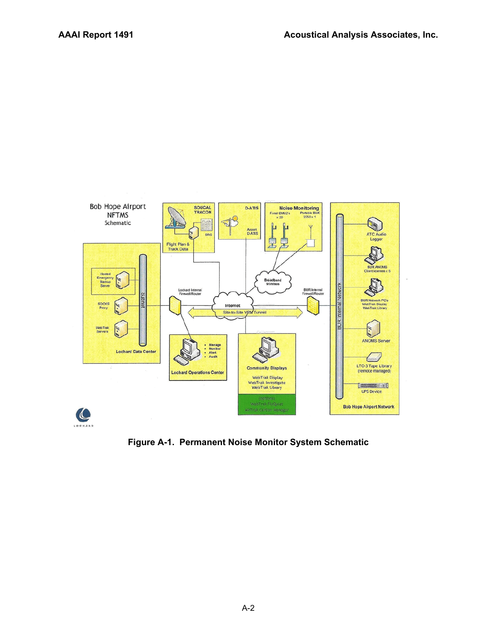

**Figure A-1. Permanent Noise Monitor System Schematic**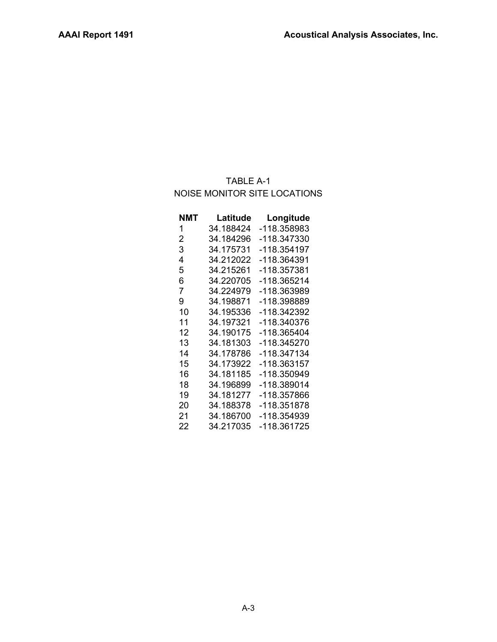# TABLE A-1 NOISE MONITOR SITE LOCATIONS

| NMT | Latitude  | Longitude   |
|-----|-----------|-------------|
| 1   | 34.188424 | -118.358983 |
| 2   | 34.184296 | -118.347330 |
| 3   | 34.175731 | -118.354197 |
| 4   | 34.212022 | -118.364391 |
| 5   | 34.215261 | -118.357381 |
| 6   | 34.220705 | -118.365214 |
| 7   | 34.224979 | -118.363989 |
| 9   | 34.198871 | -118.398889 |
| 10  | 34.195336 | -118.342392 |
| 11  | 34.197321 | -118.340376 |
| 12  | 34.190175 | -118.365404 |
| 13  | 34.181303 | -118.345270 |
| 14  | 34.178786 | -118.347134 |
| 15  | 34.173922 | -118.363157 |
| 16  | 34.181185 | -118.350949 |
| 18  | 34.196899 | -118.389014 |
| 19  | 34.181277 | -118.357866 |
| 20  | 34.188378 | -118.351878 |
| 21  | 34.186700 | -118.354939 |
| 22  | 34.217035 | -118.361725 |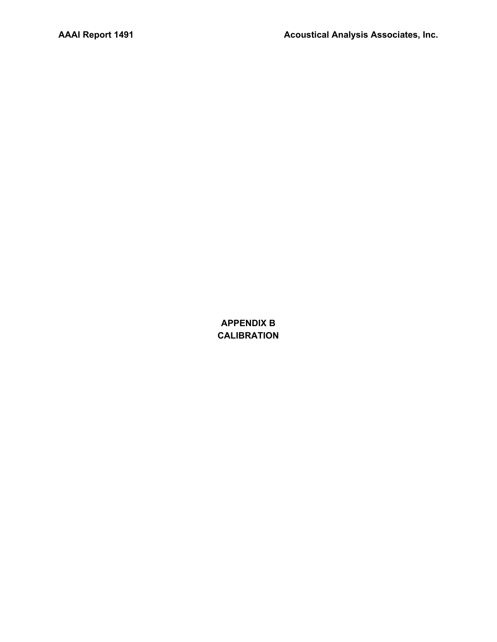**APPENDIX B CALIBRATION**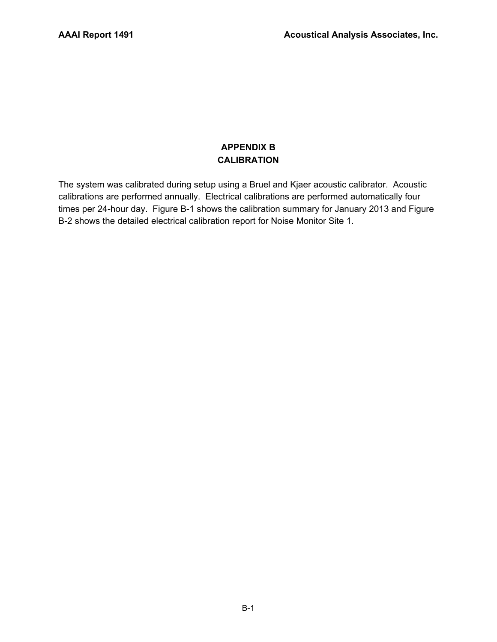## **APPENDIX B CALIBRATION**

The system was calibrated during setup using a Bruel and Kjaer acoustic calibrator. Acoustic calibrations are performed annually. Electrical calibrations are performed automatically four times per 24-hour day. Figure B-1 shows the calibration summary for January 2013 and Figure B-2 shows the detailed electrical calibration report for Noise Monitor Site 1.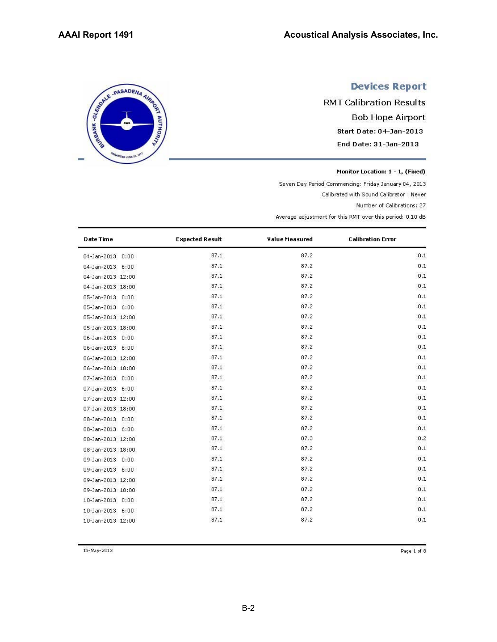SERIE - PASADENA AIRING

ED JUNE 21

# **Devices Report**

**RMT Calibration Results Bob Hope Airport** Start Date: 04-Jan-2013 End Date: 31-Jan-2013

Monitor Location: 1 - 1, (Fixed)

Seven Day Period Commencing: Friday January 04, 2013

Calibrated with Sound Calibrator : Never

Number of Calibrations: 27

Average adjustment for this RMT over this period: 0.10 dB

| <b>Date Time</b>  | <b>Expected Result</b> | Value Measured | <b>Calibration Error</b> |
|-------------------|------------------------|----------------|--------------------------|
| 04-Jan-2013 0:00  | 87.1                   | 87.2           | 0.1                      |
| 04-Jan-2013 6:00  | 87.1                   | 87.2           | 0.1                      |
| 04-Jan-2013 12:00 | 87.1                   | 87.2           | 0.1                      |
| 04-Jan-2013 18:00 | 87.1                   | 87.2           | 0.1                      |
| 05-Jan-2013 0:00  | 87.1                   | 87.2           | 0.1                      |
| 05-Jan-2013 6:00  | 87.1                   | 87.2           | 0.1                      |
| 05-Jan-2013 12:00 | 87.1                   | 87.2           | 0.1                      |
| 05-Jan-2013 18:00 | 87.1                   | 87.2           | 0.1                      |
| 06-Jan-2013 0:00  | 87.1                   | 87.2           | 0.1                      |
| 06-Jan-2013 6:00  | 87.1                   | 87.2           | 0.1                      |
| 06-Jan-2013 12:00 | 87.1                   | 87.2           | 0.1                      |
| 06-Jan-2013 18:00 | 87.1                   | 87.2           | 0.1                      |
| 07-Jan-2013 0:00  | 87.1                   | 87.2           | 0.1                      |
| 07-Jan-2013 6:00  | 87.1                   | 87.2           | 0.1                      |
| 07-Jan-2013 12:00 | 87.1                   | 87.2           | 0.1                      |
| 07-Jan-2013 18:00 | 87.1                   | 87.2           | 0.1                      |
| 08-Jan-2013 0:00  | 87.1                   | 87.2           | 0.1                      |
| 08-Jan-2013 6:00  | 87.1                   | 87.2           | 0.1                      |
| 08-Jan-2013 12:00 | 87.1                   | 87.3           | 0.2                      |
| 08-Jan-2013 18:00 | 87.1                   | 87.2           | 0.1                      |
| 09-Jan-2013 0:00  | 87.1                   | 87.2           | 0.1                      |
| 09-Jan-2013 6:00  | 87.1                   | 87.2           | 0.1                      |
| 09-Jan-2013 12:00 | 87.1                   | 87.2           | 0.1                      |
| 09-Jan-2013 18:00 | 87.1                   | 87.2           | 0.1                      |
| 10-Jan-2013 0:00  | 87.1                   | 87.2           | 0.1                      |
| 10-Jan-2013 6:00  | 87.1                   | 87.2           | 0.1                      |
| 10-Jan-2013 12:00 | 87.1                   | 87.2           | 0.1                      |

15-May-2013

Page 1 of 8